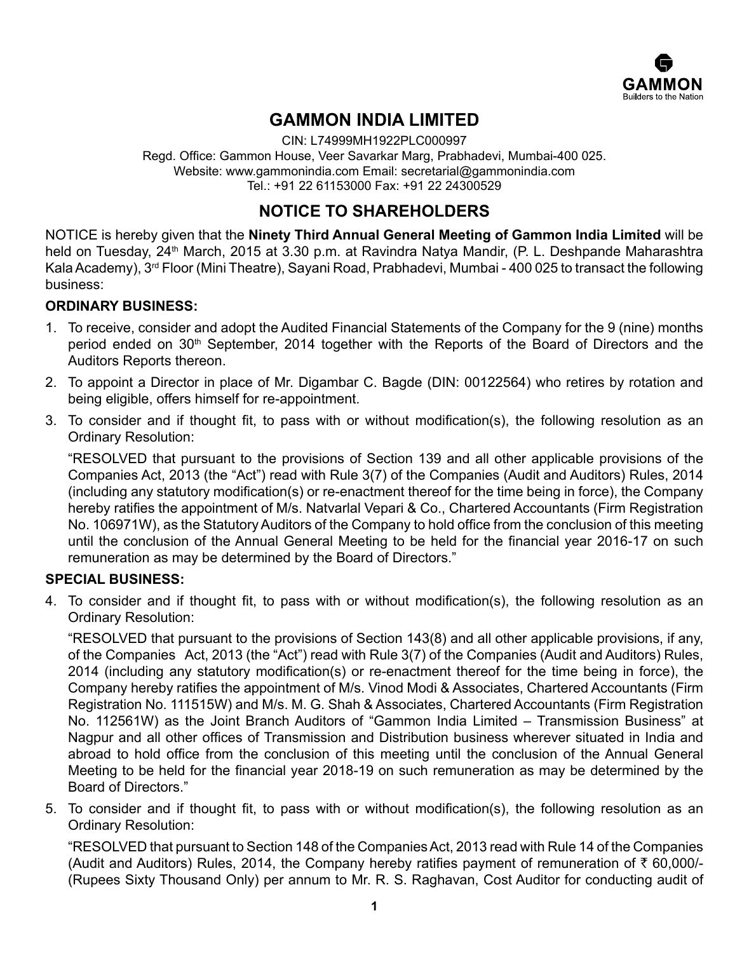

# **GAMMON INDIA LIMITED**

CIN: L74999MH1922PLC000997 Regd. Office: Gammon House, Veer Savarkar Marg, Prabhadevi, Mumbai-400 025. Website: www.gammonindia.com Email: secretarial@gammonindia.com Tel.: +91 22 61153000 Fax: +91 22 24300529

# **NOTICE TO SHAREHOLDERS**

NOTICE is hereby given that the **Ninety Third Annual General Meeting of Gammon India Limited** will be held on Tuesday, 24<sup>th</sup> March, 2015 at 3.30 p.m. at Ravindra Natya Mandir, (P. L. Deshpande Maharashtra Kala Academy), 3<sup>rd</sup> Floor (Mini Theatre), Sayani Road, Prabhadevi, Mumbai - 400 025 to transact the following business:

# **ORDINARY BUSINESS:**

- 1. To receive, consider and adopt the Audited Financial Statements of the Company for the 9 (nine) months period ended on 30<sup>th</sup> September, 2014 together with the Reports of the Board of Directors and the Auditors Reports thereon.
- 2. To appoint a Director in place of Mr. Digambar C. Bagde (DIN: 00122564) who retires by rotation and being eligible, offers himself for re-appointment.
- 3. To consider and if thought fit, to pass with or without modification(s), the following resolution as an Ordinary Resolution:

"RESOLVED that pursuant to the provisions of Section 139 and all other applicable provisions of the Companies Act, 2013 (the "Act") read with Rule 3(7) of the Companies (Audit and Auditors) Rules, 2014 (including any statutory modification(s) or re-enactment thereof for the time being in force), the Company hereby ratifies the appointment of M/s. Natvarlal Vepari & Co., Chartered Accountants (Firm Registration No. 106971W), as the Statutory Auditors of the Company to hold office from the conclusion of this meeting until the conclusion of the Annual General Meeting to be held for the financial year 2016-17 on such remuneration as may be determined by the Board of Directors."

# **SPECIAL BUSINESS:**

4. To consider and if thought fit, to pass with or without modification(s), the following resolution as an Ordinary Resolution:

"RESOLVED that pursuant to the provisions of Section 143(8) and all other applicable provisions, if any, of the Companies Act, 2013 (the "Act") read with Rule 3(7) of the Companies (Audit and Auditors) Rules, 2014 (including any statutory modification(s) or re-enactment thereof for the time being in force), the Company hereby ratifies the appointment of M/s. Vinod Modi & Associates, Chartered Accountants (Firm Registration No. 111515W) and M/s. M. G. Shah & Associates, Chartered Accountants (Firm Registration No. 112561W) as the Joint Branch Auditors of "Gammon India Limited – Transmission Business" at Nagpur and all other offices of Transmission and Distribution business wherever situated in India and abroad to hold office from the conclusion of this meeting until the conclusion of the Annual General Meeting to be held for the financial year 2018-19 on such remuneration as may be determined by the Board of Directors."

5. To consider and if thought fit, to pass with or without modification(s), the following resolution as an Ordinary Resolution:

"RESOLVED that pursuant to Section 148 of the Companies Act, 2013 read with Rule 14 of the Companies (Audit and Auditors) Rules, 2014, the Company hereby ratifies payment of remuneration of  $\bar{\tau}$  60,000/-(Rupees Sixty Thousand Only) per annum to Mr. R. S. Raghavan, Cost Auditor for conducting audit of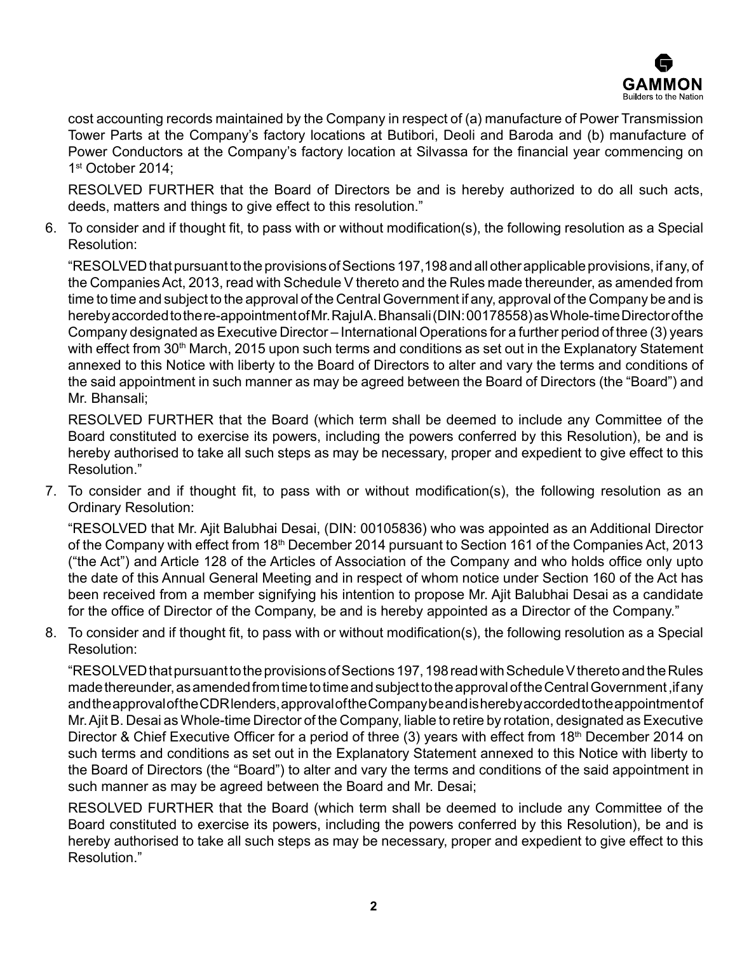

cost accounting records maintained by the Company in respect of (a) manufacture of Power Transmission Tower Parts at the Company's factory locations at Butibori, Deoli and Baroda and (b) manufacture of Power Conductors at the Company's factory location at Silvassa for the financial year commencing on 1st October 2014:

RESOLVED FURTHER that the Board of Directors be and is hereby authorized to do all such acts, deeds, matters and things to give effect to this resolution."

6. To consider and if thought fit, to pass with or without modification(s), the following resolution as a Special Resolution:

"RESOLVED that pursuant to the provisions of Sections 197,198 and all other applicable provisions, if any, of the Companies Act, 2013, read with Schedule V thereto and the Rules made thereunder, as amended from time to time and subject to the approval of the Central Government if any, approval of the Company be and is hereby accorded to the re-appointment of Mr. Rajul A. Bhansali (DIN: 00178558) as Whole-time Director of the Company designated as Executive Director – International Operations for a further period of three (3) years with effect from  $30<sup>th</sup>$  March, 2015 upon such terms and conditions as set out in the Explanatory Statement annexed to this Notice with liberty to the Board of Directors to alter and vary the terms and conditions of the said appointment in such manner as may be agreed between the Board of Directors (the "Board") and Mr. Bhansali;

RESOLVED FURTHER that the Board (which term shall be deemed to include any Committee of the Board constituted to exercise its powers, including the powers conferred by this Resolution), be and is hereby authorised to take all such steps as may be necessary, proper and expedient to give effect to this Resolution."

7. To consider and if thought fit, to pass with or without modification(s), the following resolution as an Ordinary Resolution:

"RESOLVED that Mr. Ajit Balubhai Desai, (DIN: 00105836) who was appointed as an Additional Director of the Company with effect from 18<sup>th</sup> December 2014 pursuant to Section 161 of the Companies Act, 2013 ("the Act") and Article 128 of the Articles of Association of the Company and who holds office only upto the date of this Annual General Meeting and in respect of whom notice under Section 160 of the Act has been received from a member signifying his intention to propose Mr. Ajit Balubhai Desai as a candidate for the office of Director of the Company, be and is hereby appointed as a Director of the Company."

8. To consider and if thought fit, to pass with or without modification(s), the following resolution as a Special Resolution:

"RESOLVED that pursuant to the provisions of Sections 197, 198 read with Schedule V thereto and the Rules made thereunder, as amended from time to time and subject to the approval of the Central Government ,if any and the approval of the CDR lenders, approval of the Company be and is hereby accorded to the appointment of Mr. Ajit B. Desai as Whole-time Director of the Company, liable to retire by rotation, designated as Executive Director & Chief Executive Officer for a period of three (3) years with effect from 18<sup>th</sup> December 2014 on such terms and conditions as set out in the Explanatory Statement annexed to this Notice with liberty to the Board of Directors (the "Board") to alter and vary the terms and conditions of the said appointment in such manner as may be agreed between the Board and Mr. Desai;

RESOLVED FURTHER that the Board (which term shall be deemed to include any Committee of the Board constituted to exercise its powers, including the powers conferred by this Resolution), be and is hereby authorised to take all such steps as may be necessary, proper and expedient to give effect to this Resolution."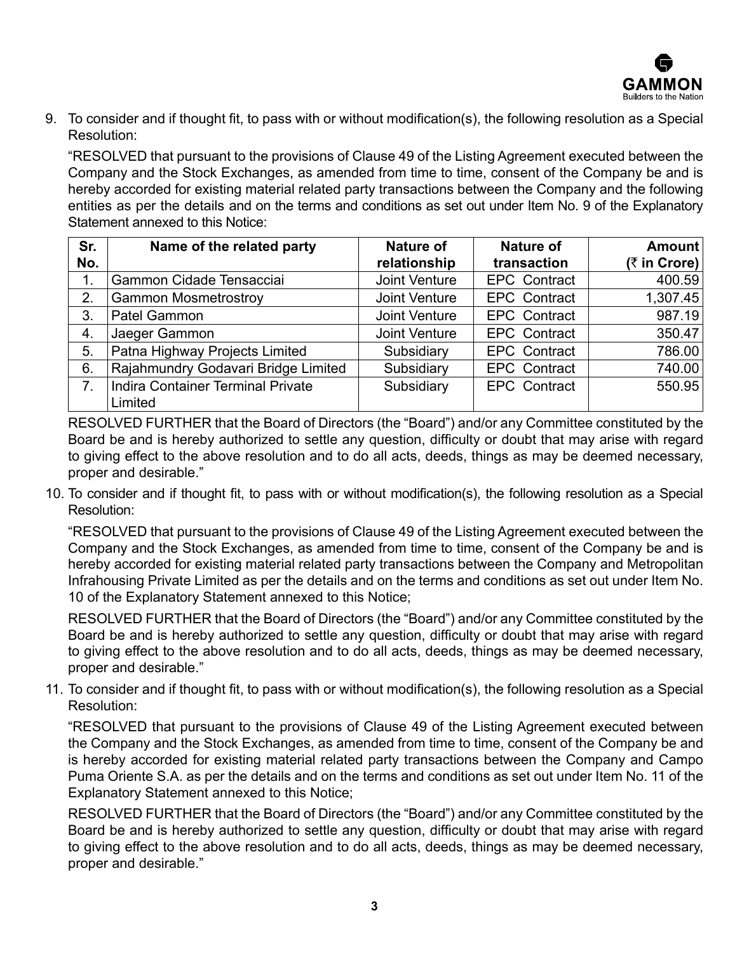

9. To consider and if thought fit, to pass with or without modification(s), the following resolution as a Special Resolution:

"RESOLVED that pursuant to the provisions of Clause 49 of the Listing Agreement executed between the Company and the Stock Exchanges, as amended from time to time, consent of the Company be and is hereby accorded for existing material related party transactions between the Company and the following entities as per the details and on the terms and conditions as set out under Item No. 9 of the Explanatory Statement annexed to this Notice:

| Sr. | Name of the related party           | Nature of     | <b>Nature of</b>    | Amount       |
|-----|-------------------------------------|---------------|---------------------|--------------|
| No. |                                     | relationship  | transaction         | (₹ in Crore) |
| 1.  | Gammon Cidade Tensacciai            | Joint Venture | <b>EPC Contract</b> | 400.59       |
| 2.  | <b>Gammon Mosmetrostroy</b>         | Joint Venture | <b>EPC Contract</b> | 1,307.45     |
| 3.  | Patel Gammon                        | Joint Venture | <b>EPC Contract</b> | 987.19       |
| 4.  | Jaeger Gammon                       | Joint Venture | <b>EPC Contract</b> | 350.47       |
| 5.  | Patna Highway Projects Limited      | Subsidiary    | <b>EPC Contract</b> | 786.00       |
| 6.  | Rajahmundry Godavari Bridge Limited | Subsidiary    | <b>EPC Contract</b> | 740.00       |
| 7.  | Indira Container Terminal Private   | Subsidiary    | <b>EPC Contract</b> | 550.95       |
|     | Limited                             |               |                     |              |

RESOLVED FURTHER that the Board of Directors (the "Board") and/or any Committee constituted by the Board be and is hereby authorized to settle any question, difficulty or doubt that may arise with regard to giving effect to the above resolution and to do all acts, deeds, things as may be deemed necessary, proper and desirable."

10. To consider and if thought fit, to pass with or without modification(s), the following resolution as a Special Resolution:

"RESOLVED that pursuant to the provisions of Clause 49 of the Listing Agreement executed between the Company and the Stock Exchanges, as amended from time to time, consent of the Company be and is hereby accorded for existing material related party transactions between the Company and Metropolitan Infrahousing Private Limited as per the details and on the terms and conditions as set out under Item No. 10 of the Explanatory Statement annexed to this Notice;

RESOLVED FURTHER that the Board of Directors (the "Board") and/or any Committee constituted by the Board be and is hereby authorized to settle any question, difficulty or doubt that may arise with regard to giving effect to the above resolution and to do all acts, deeds, things as may be deemed necessary, proper and desirable."

11. To consider and if thought fit, to pass with or without modification(s), the following resolution as a Special Resolution:

"RESOLVED that pursuant to the provisions of Clause 49 of the Listing Agreement executed between the Company and the Stock Exchanges, as amended from time to time, consent of the Company be and is hereby accorded for existing material related party transactions between the Company and Campo Puma Oriente S.A. as per the details and on the terms and conditions as set out under Item No. 11 of the Explanatory Statement annexed to this Notice;

RESOLVED FURTHER that the Board of Directors (the "Board") and/or any Committee constituted by the Board be and is hereby authorized to settle any question, difficulty or doubt that may arise with regard to giving effect to the above resolution and to do all acts, deeds, things as may be deemed necessary, proper and desirable."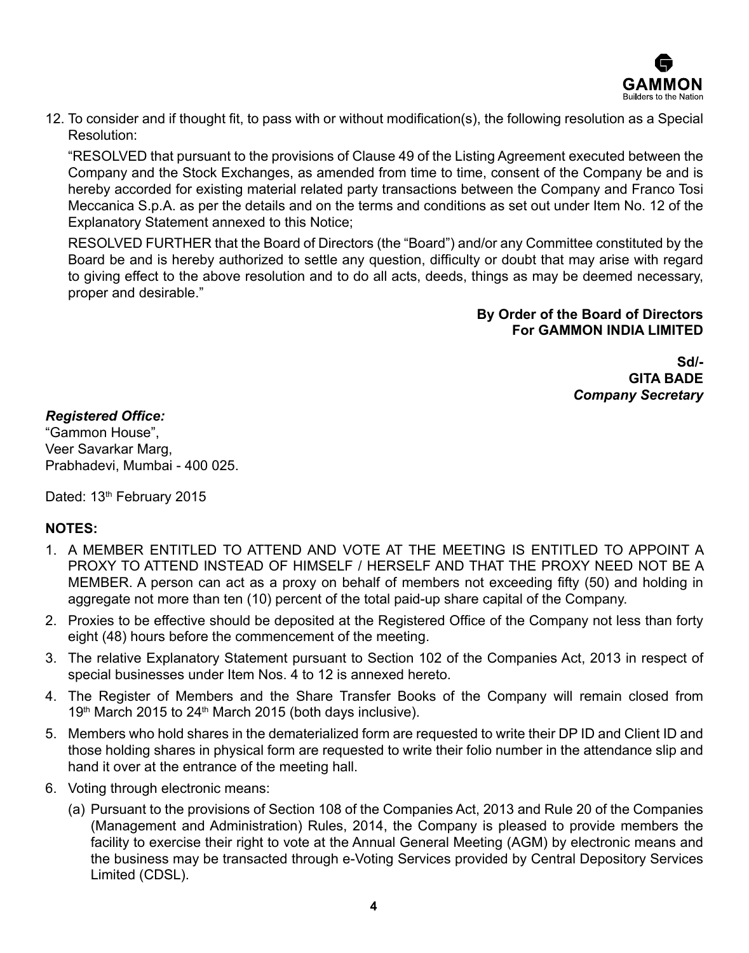

12. To consider and if thought fit, to pass with or without modification(s), the following resolution as a Special Resolution:

"RESOLVED that pursuant to the provisions of Clause 49 of the Listing Agreement executed between the Company and the Stock Exchanges, as amended from time to time, consent of the Company be and is hereby accorded for existing material related party transactions between the Company and Franco Tosi Meccanica S.p.A. as per the details and on the terms and conditions as set out under Item No. 12 of the Explanatory Statement annexed to this Notice;

RESOLVED FURTHER that the Board of Directors (the "Board") and/or any Committee constituted by the Board be and is hereby authorized to settle any question, difficulty or doubt that may arise with regard to giving effect to the above resolution and to do all acts, deeds, things as may be deemed necessary, proper and desirable."

#### **By Order of the Board of Directors For GAMMON INDIA LIMITED**

**Sd/- GITA BADE** *Company Secretary*

# *Registered Office:*

"Gammon House", Veer Savarkar Marg, Prabhadevi, Mumbai - 400 025.

Dated: 13<sup>th</sup> February 2015

# **NOTES:**

- 1. A MEMBER ENTITLED TO ATTEND AND VOTE AT THE MEETING IS ENTITLED TO APPOINT A PROXY TO ATTEND INSTEAD OF HIMSELF / HERSELF AND THAT THE PROXY NEED NOT BE A MEMBER. A person can act as a proxy on behalf of members not exceeding fifty (50) and holding in aggregate not more than ten (10) percent of the total paid-up share capital of the Company.
- 2. Proxies to be effective should be deposited at the Registered Office of the Company not less than forty eight (48) hours before the commencement of the meeting.
- 3. The relative Explanatory Statement pursuant to Section 102 of the Companies Act, 2013 in respect of special businesses under Item Nos. 4 to 12 is annexed hereto.
- 4. The Register of Members and the Share Transfer Books of the Company will remain closed from 19<sup>th</sup> March 2015 to 24<sup>th</sup> March 2015 (both days inclusive).
- 5. Members who hold shares in the dematerialized form are requested to write their DP ID and Client ID and those holding shares in physical form are requested to write their folio number in the attendance slip and hand it over at the entrance of the meeting hall.
- 6. Voting through electronic means:
	- (a) Pursuant to the provisions of Section 108 of the Companies Act, 2013 and Rule 20 of the Companies (Management and Administration) Rules, 2014, the Company is pleased to provide members the facility to exercise their right to vote at the Annual General Meeting (AGM) by electronic means and the business may be transacted through e-Voting Services provided by Central Depository Services Limited (CDSL).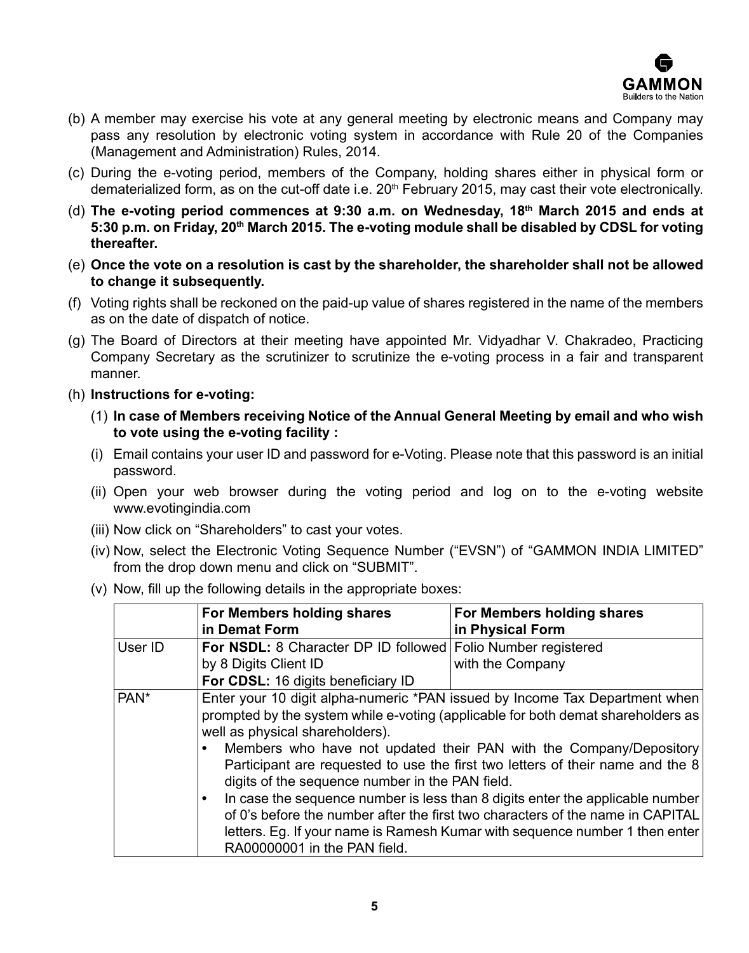

- (b) A member may exercise his vote at any general meeting by electronic means and Company may pass any resolution by electronic voting system in accordance with Rule 20 of the Companies (Management and Administration) Rules, 2014.
- (c) During the e-voting period, members of the Company, holding shares either in physical form or dematerialized form, as on the cut-off date i.e.  $20<sup>th</sup>$  February 2015, may cast their vote electronically.
- (d) **The e-voting period commences at 9:30 a.m. on Wednesday, 18th March 2015 and ends at 5:30 p.m. on Friday, 20th March 2015. The e-voting module shall be disabled by CDSL for voting thereafter.**
- (e) **Once the vote on a resolution is cast by the shareholder, the shareholder shall not be allowed to change it subsequently.**
- (f) Voting rights shall be reckoned on the paid-up value of shares registered in the name of the members as on the date of dispatch of notice.
- (g) The Board of Directors at their meeting have appointed Mr. Vidyadhar V. Chakradeo, Practicing Company Secretary as the scrutinizer to scrutinize the e-voting process in a fair and transparent manner.
- (h) **Instructions for e-voting:**
	- (1) **In case of Members receiving Notice of the Annual General Meeting by email and who wish to vote using the e-voting facility :**
	- (i) Email contains your user ID and password for e-Voting. Please note that this password is an initial password.
	- (ii) Open your web browser during the voting period and log on to the e-voting website www.evotingindia.com
	- (iii) Now click on "Shareholders" to cast your votes.
	- (iv) Now, select the Electronic Voting Sequence Number ("EVSN") of "GAMMON INDIA LIMITED" from the drop down menu and click on "SUBMIT".
	- (v) Now, fill up the following details in the appropriate boxes:

|         | For Members holding shares<br>in Demat Form                                                                                                  | For Members holding shares<br>in Physical Form                                                                                                                                                                                                                                                                                                                                                                                                                                                                                                                            |
|---------|----------------------------------------------------------------------------------------------------------------------------------------------|---------------------------------------------------------------------------------------------------------------------------------------------------------------------------------------------------------------------------------------------------------------------------------------------------------------------------------------------------------------------------------------------------------------------------------------------------------------------------------------------------------------------------------------------------------------------------|
| User ID | For NSDL: 8 Character DP ID followed Folio Number registered<br>by 8 Digits Client ID<br>For CDSL: 16 digits beneficiary ID                  | with the Company                                                                                                                                                                                                                                                                                                                                                                                                                                                                                                                                                          |
| PAN*    | well as physical shareholders).<br>$\bullet$<br>digits of the sequence number in the PAN field.<br>$\bullet$<br>RA00000001 in the PAN field. | Enter your 10 digit alpha-numeric *PAN issued by Income Tax Department when<br>prompted by the system while e-voting (applicable for both demat shareholders as<br>Members who have not updated their PAN with the Company/Depository<br>Participant are requested to use the first two letters of their name and the 8<br>In case the sequence number is less than 8 digits enter the applicable number<br>of 0's before the number after the first two characters of the name in CAPITAL<br>letters. Eg. If your name is Ramesh Kumar with sequence number 1 then enter |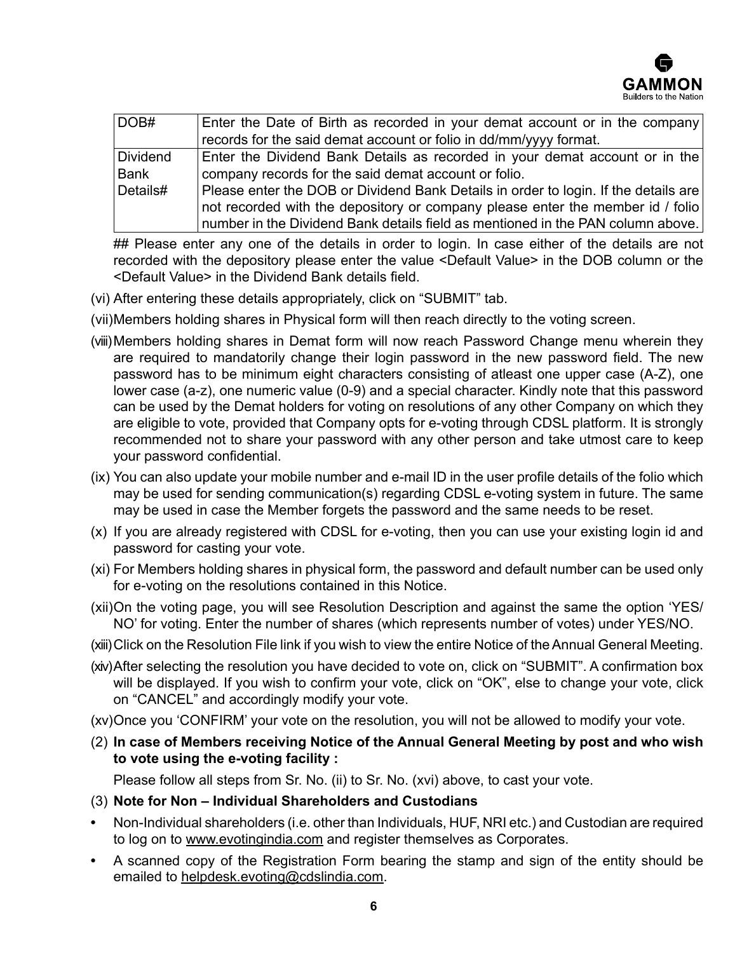

| DOB#        | Enter the Date of Birth as recorded in your demat account or in the company         |  |  |  |
|-------------|-------------------------------------------------------------------------------------|--|--|--|
|             | records for the said demat account or folio in dd/mm/yyyy format.                   |  |  |  |
| Dividend    | Enter the Dividend Bank Details as recorded in your demat account or in the         |  |  |  |
| <b>Bank</b> | company records for the said demat account or folio.                                |  |  |  |
| Details#    | Please enter the DOB or Dividend Bank Details in order to login. If the details are |  |  |  |
|             | not recorded with the depository or company please enter the member id / folio      |  |  |  |
|             | number in the Dividend Bank details field as mentioned in the PAN column above.     |  |  |  |

## Please enter any one of the details in order to login. In case either of the details are not recorded with the depository please enter the value <Default Value> in the DOB column or the <Default Value> in the Dividend Bank details field.

(vi) After entering these details appropriately, click on "SUBMIT" tab.

(vii)Members holding shares in Physical form will then reach directly to the voting screen.

- (viii)Members holding shares in Demat form will now reach Password Change menu wherein they are required to mandatorily change their login password in the new password field. The new password has to be minimum eight characters consisting of atleast one upper case (A-Z), one lower case (a-z), one numeric value (0-9) and a special character. Kindly note that this password can be used by the Demat holders for voting on resolutions of any other Company on which they are eligible to vote, provided that Company opts for e-voting through CDSL platform. It is strongly recommended not to share your password with any other person and take utmost care to keep your password confidential.
- (ix) You can also update your mobile number and e-mail ID in the user profile details of the folio which may be used for sending communication(s) regarding CDSL e-voting system in future. The same may be used in case the Member forgets the password and the same needs to be reset.
- (x) If you are already registered with CDSL for e-voting, then you can use your existing login id and password for casting your vote.
- (xi) For Members holding shares in physical form, the password and default number can be used only for e-voting on the resolutions contained in this Notice.
- (xii)On the voting page, you will see Resolution Description and against the same the option 'YES/ NO' for voting. Enter the number of shares (which represents number of votes) under YES/NO.
- (xiii)Click on the Resolution File link if you wish to view the entire Notice of the Annual General Meeting.
- (xiv)After selecting the resolution you have decided to vote on, click on "SUBMIT". A confirmation box will be displayed. If you wish to confirm your vote, click on "OK", else to change your vote, click on "CANCEL" and accordingly modify your vote.
- (xv)Once you 'CONFIRM' your vote on the resolution, you will not be allowed to modify your vote.
- (2) **In case of Members receiving Notice of the Annual General Meeting by post and who wish to vote using the e-voting facility :**

Please follow all steps from Sr. No. (ii) to Sr. No. (xvi) above, to cast your vote.

- (3) **Note for Non Individual Shareholders and Custodians**
- **•**  Non-Individual shareholders (i.e. other than Individuals, HUF, NRI etc.) and Custodian are required to log on to www.evotingindia.com and register themselves as Corporates.
- **•**  A scanned copy of the Registration Form bearing the stamp and sign of the entity should be emailed to helpdesk.evoting@cdslindia.com.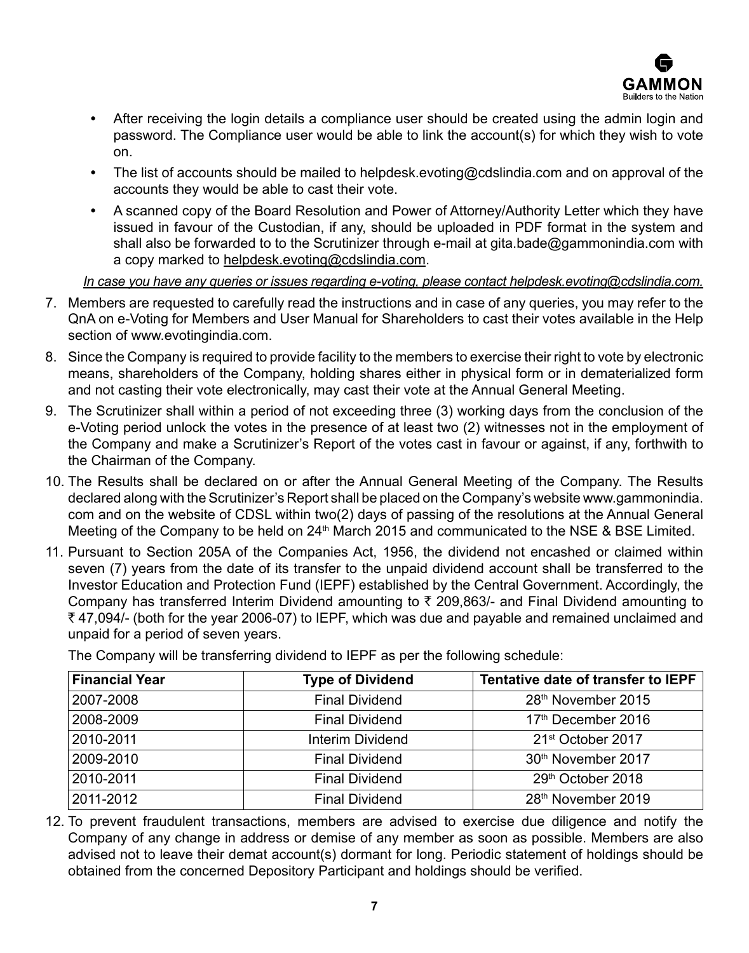

- **•**  After receiving the login details a compliance user should be created using the admin login and password. The Compliance user would be able to link the account(s) for which they wish to vote on.
- **•**  The list of accounts should be mailed to helpdesk.evoting@cdslindia.com and on approval of the accounts they would be able to cast their vote.
- **•**  A scanned copy of the Board Resolution and Power of Attorney/Authority Letter which they have issued in favour of the Custodian, if any, should be uploaded in PDF format in the system and shall also be forwarded to to the Scrutinizer through e-mail at gita.bade@gammonindia.com with a copy marked to helpdesk.evoting@cdslindia.com.

*In case you have any queries or issues regarding e-voting, please contact helpdesk.evoting@cdslindia.com.*

- 7. Members are requested to carefully read the instructions and in case of any queries, you may refer to the QnA on e-Voting for Members and User Manual for Shareholders to cast their votes available in the Help section of www.evotingindia.com.
- 8. Since the Company is required to provide facility to the members to exercise their right to vote by electronic means, shareholders of the Company, holding shares either in physical form or in dematerialized form and not casting their vote electronically, may cast their vote at the Annual General Meeting.
- 9. The Scrutinizer shall within a period of not exceeding three (3) working days from the conclusion of the e-Voting period unlock the votes in the presence of at least two (2) witnesses not in the employment of the Company and make a Scrutinizer's Report of the votes cast in favour or against, if any, forthwith to the Chairman of the Company.
- 10. The Results shall be declared on or after the Annual General Meeting of the Company. The Results declared along with the Scrutinizer's Report shall be placed on the Company's website www.gammonindia. com and on the website of CDSL within two(2) days of passing of the resolutions at the Annual General Meeting of the Company to be held on  $24<sup>th</sup>$  March 2015 and communicated to the NSE & BSE Limited.
- 11. Pursuant to Section 205A of the Companies Act, 1956, the dividend not encashed or claimed within seven (7) years from the date of its transfer to the unpaid dividend account shall be transferred to the Investor Education and Protection Fund (IEPF) established by the Central Government. Accordingly, the Company has transferred Interim Dividend amounting to  $\bar{\tau}$  209,863/- and Final Dividend amounting to ₹47,094/- (both for the year 2006-07) to IEPF, which was due and payable and remained unclaimed and unpaid for a period of seven years.

| <b>Financial Year</b> | <b>Type of Dividend</b> | Tentative date of transfer to IEPF |
|-----------------------|-------------------------|------------------------------------|
| 2007-2008             | <b>Final Dividend</b>   | 28 <sup>th</sup> November 2015     |
| 2008-2009             | <b>Final Dividend</b>   | 17 <sup>th</sup> December 2016     |
| 2010-2011             | Interim Dividend        | 21 <sup>st</sup> October 2017      |
| 2009-2010             | <b>Final Dividend</b>   | 30 <sup>th</sup> November 2017     |
| 2010-2011             | <b>Final Dividend</b>   | 29th October 2018                  |
| 2011-2012             | <b>Final Dividend</b>   | 28 <sup>th</sup> November 2019     |

The Company will be transferring dividend to IEPF as per the following schedule:

12. To prevent fraudulent transactions, members are advised to exercise due diligence and notify the Company of any change in address or demise of any member as soon as possible. Members are also advised not to leave their demat account(s) dormant for long. Periodic statement of holdings should be obtained from the concerned Depository Participant and holdings should be verified.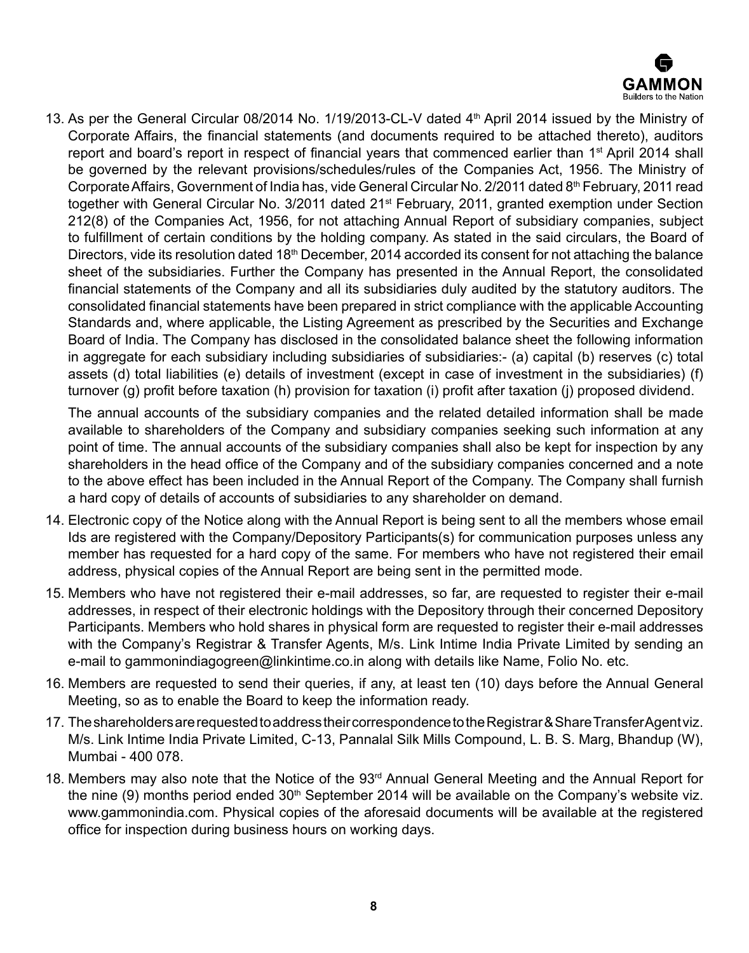

13. As per the General Circular 08/2014 No. 1/19/2013-CL-V dated 4th April 2014 issued by the Ministry of Corporate Affairs, the financial statements (and documents required to be attached thereto), auditors report and board's report in respect of financial years that commenced earlier than 1<sup>st</sup> April 2014 shall be governed by the relevant provisions/schedules/rules of the Companies Act, 1956. The Ministry of Corporate Affairs, Government of India has, vide General Circular No. 2/2011 dated 8<sup>th</sup> February, 2011 read together with General Circular No. 3/2011 dated 21<sup>st</sup> February, 2011, granted exemption under Section 212(8) of the Companies Act, 1956, for not attaching Annual Report of subsidiary companies, subject to fulfillment of certain conditions by the holding company. As stated in the said circulars, the Board of Directors, vide its resolution dated 18<sup>th</sup> December, 2014 accorded its consent for not attaching the balance sheet of the subsidiaries. Further the Company has presented in the Annual Report, the consolidated financial statements of the Company and all its subsidiaries duly audited by the statutory auditors. The consolidated financial statements have been prepared in strict compliance with the applicable Accounting Standards and, where applicable, the Listing Agreement as prescribed by the Securities and Exchange Board of India. The Company has disclosed in the consolidated balance sheet the following information in aggregate for each subsidiary including subsidiaries of subsidiaries:- (a) capital (b) reserves (c) total assets (d) total liabilities (e) details of investment (except in case of investment in the subsidiaries) (f) turnover (g) profit before taxation (h) provision for taxation (i) profit after taxation (j) proposed dividend.

The annual accounts of the subsidiary companies and the related detailed information shall be made available to shareholders of the Company and subsidiary companies seeking such information at any point of time. The annual accounts of the subsidiary companies shall also be kept for inspection by any shareholders in the head office of the Company and of the subsidiary companies concerned and a note to the above effect has been included in the Annual Report of the Company. The Company shall furnish a hard copy of details of accounts of subsidiaries to any shareholder on demand.

- 14. Electronic copy of the Notice along with the Annual Report is being sent to all the members whose email Ids are registered with the Company/Depository Participants(s) for communication purposes unless any member has requested for a hard copy of the same. For members who have not registered their email address, physical copies of the Annual Report are being sent in the permitted mode.
- 15. Members who have not registered their e-mail addresses, so far, are requested to register their e-mail addresses, in respect of their electronic holdings with the Depository through their concerned Depository Participants. Members who hold shares in physical form are requested to register their e-mail addresses with the Company's Registrar & Transfer Agents, M/s. Link Intime India Private Limited by sending an e-mail to gammonindiagogreen@linkintime.co.in along with details like Name, Folio No. etc.
- 16. Members are requested to send their queries, if any, at least ten (10) days before the Annual General Meeting, so as to enable the Board to keep the information ready.
- 17. The shareholders are requested to address their correspondence to the Registrar & Share Transfer Agent viz. M/s. Link Intime India Private Limited, C-13, Pannalal Silk Mills Compound, L. B. S. Marg, Bhandup (W), Mumbai - 400 078.
- 18. Members may also note that the Notice of the 93<sup>rd</sup> Annual General Meeting and the Annual Report for the nine (9) months period ended 30<sup>th</sup> September 2014 will be available on the Company's website viz. www.gammonindia.com. Physical copies of the aforesaid documents will be available at the registered office for inspection during business hours on working days.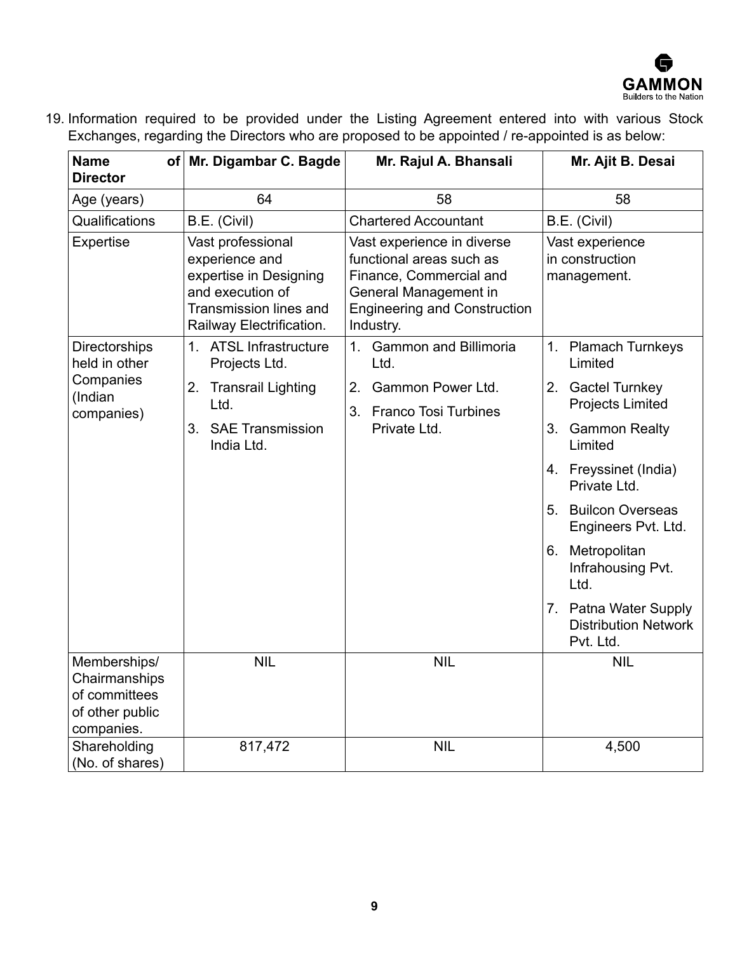

19. Information required to be provided under the Listing Agreement entered into with various Stock Exchanges, regarding the Directors who are proposed to be appointed / re-appointed is as below:

| <b>Name</b><br><b>Director</b>                                                  | of Mr. Digambar C. Bagde                                                                                                                | Mr. Rajul A. Bhansali                                                                                                                                          | Mr. Ajit B. Desai                                                 |  |
|---------------------------------------------------------------------------------|-----------------------------------------------------------------------------------------------------------------------------------------|----------------------------------------------------------------------------------------------------------------------------------------------------------------|-------------------------------------------------------------------|--|
| 64<br>Age (years)                                                               |                                                                                                                                         | 58                                                                                                                                                             | 58                                                                |  |
| Qualifications                                                                  | B.E. (Civil)                                                                                                                            | <b>Chartered Accountant</b>                                                                                                                                    | B.E. (Civil)                                                      |  |
| Expertise                                                                       | Vast professional<br>experience and<br>expertise in Designing<br>and execution of<br>Transmission lines and<br>Railway Electrification. | Vast experience in diverse<br>functional areas such as<br>Finance, Commercial and<br>General Management in<br><b>Engineering and Construction</b><br>Industry. | Vast experience<br>in construction<br>management.                 |  |
| Directorships<br>held in other                                                  | 1. ATSL Infrastructure<br>Projects Ltd.                                                                                                 | 1 <sup>1</sup><br><b>Gammon and Billimoria</b><br>Ltd.                                                                                                         | 1. Plamach Turnkeys<br>Limited                                    |  |
| Companies<br>(Indian<br>companies)                                              | 2. Transrail Lighting<br>Ltd.                                                                                                           | Gammon Power Ltd.<br>2.<br>3. Franco Tosi Turbines                                                                                                             | 2. Gactel Turnkey<br><b>Projects Limited</b>                      |  |
|                                                                                 | <b>SAE Transmission</b><br>3.<br>India Ltd.                                                                                             | Private Ltd.                                                                                                                                                   | 3. Gammon Realty<br>Limited                                       |  |
|                                                                                 |                                                                                                                                         |                                                                                                                                                                | 4. Freyssinet (India)<br>Private Ltd.                             |  |
|                                                                                 |                                                                                                                                         |                                                                                                                                                                | 5. Builcon Overseas<br>Engineers Pvt. Ltd.                        |  |
|                                                                                 |                                                                                                                                         |                                                                                                                                                                | 6. Metropolitan<br>Infrahousing Pvt.<br>Ltd.                      |  |
|                                                                                 |                                                                                                                                         |                                                                                                                                                                | 7. Patna Water Supply<br><b>Distribution Network</b><br>Pvt. Ltd. |  |
| Memberships/<br>Chairmanships<br>of committees<br>of other public<br>companies. | <b>NIL</b>                                                                                                                              | <b>NIL</b>                                                                                                                                                     | <b>NIL</b>                                                        |  |
| Shareholding<br>(No. of shares)                                                 | 817,472                                                                                                                                 | <b>NIL</b>                                                                                                                                                     | 4,500                                                             |  |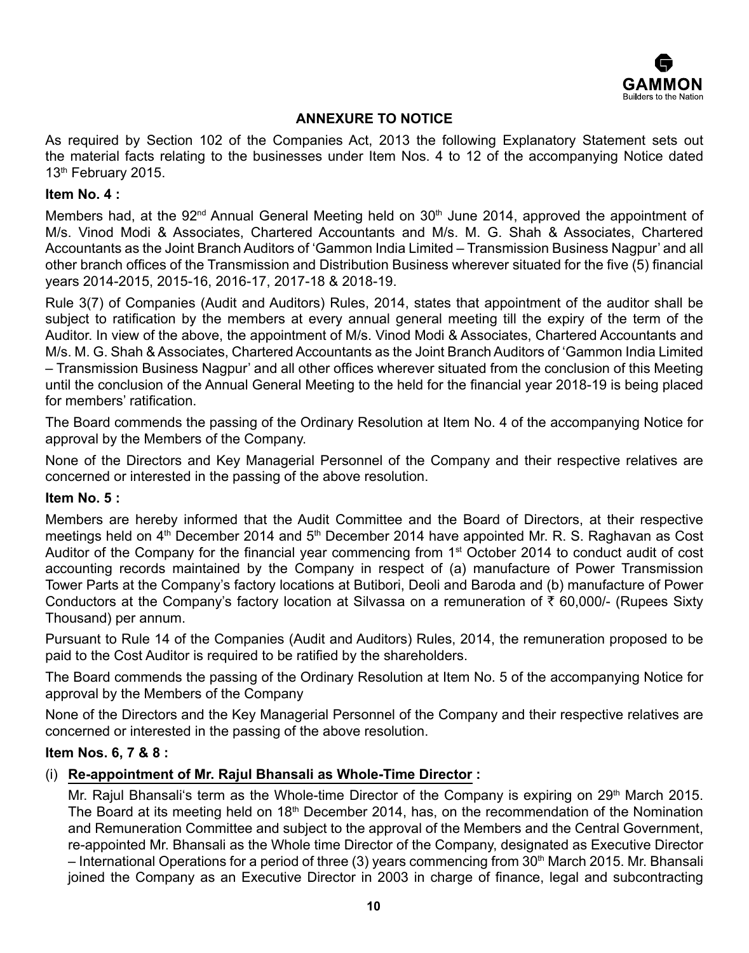

# **ANNEXURE TO NOTICE**

As required by Section 102 of the Companies Act, 2013 the following Explanatory Statement sets out the material facts relating to the businesses under Item Nos. 4 to 12 of the accompanying Notice dated 13<sup>th</sup> February 2015.

#### **Item No. 4 :**

Members had, at the 92<sup>nd</sup> Annual General Meeting held on 30<sup>th</sup> June 2014, approved the appointment of M/s. Vinod Modi & Associates, Chartered Accountants and M/s. M. G. Shah & Associates, Chartered Accountants as the Joint Branch Auditors of 'Gammon India Limited – Transmission Business Nagpur' and all other branch offices of the Transmission and Distribution Business wherever situated for the five (5) financial years 2014-2015, 2015-16, 2016-17, 2017-18 & 2018-19.

Rule 3(7) of Companies (Audit and Auditors) Rules, 2014, states that appointment of the auditor shall be subject to ratification by the members at every annual general meeting till the expiry of the term of the Auditor. In view of the above, the appointment of M/s. Vinod Modi & Associates, Chartered Accountants and M/s. M. G. Shah & Associates, Chartered Accountants as the Joint Branch Auditors of 'Gammon India Limited – Transmission Business Nagpur' and all other offices wherever situated from the conclusion of this Meeting until the conclusion of the Annual General Meeting to the held for the financial year 2018-19 is being placed for members' ratification.

The Board commends the passing of the Ordinary Resolution at Item No. 4 of the accompanying Notice for approval by the Members of the Company.

None of the Directors and Key Managerial Personnel of the Company and their respective relatives are concerned or interested in the passing of the above resolution.

#### **Item No. 5 :**

Members are hereby informed that the Audit Committee and the Board of Directors, at their respective meetings held on 4<sup>th</sup> December 2014 and 5<sup>th</sup> December 2014 have appointed Mr. R. S. Raghavan as Cost Auditor of the Company for the financial year commencing from 1st October 2014 to conduct audit of cost accounting records maintained by the Company in respect of (a) manufacture of Power Transmission Tower Parts at the Company's factory locations at Butibori, Deoli and Baroda and (b) manufacture of Power Conductors at the Company's factory location at Silvassa on a remuneration of  $\bar{\tau}$  60,000/- (Rupees Sixty Thousand) per annum.

Pursuant to Rule 14 of the Companies (Audit and Auditors) Rules, 2014, the remuneration proposed to be paid to the Cost Auditor is required to be ratified by the shareholders.

The Board commends the passing of the Ordinary Resolution at Item No. 5 of the accompanying Notice for approval by the Members of the Company

None of the Directors and the Key Managerial Personnel of the Company and their respective relatives are concerned or interested in the passing of the above resolution.

#### **Item Nos. 6, 7 & 8 :**

#### (i) **Re-appointment of Mr. Rajul Bhansali as Whole-Time Director :**

Mr. Rajul Bhansali's term as the Whole-time Director of the Company is expiring on 29<sup>th</sup> March 2015. The Board at its meeting held on 18<sup>th</sup> December 2014, has, on the recommendation of the Nomination and Remuneration Committee and subject to the approval of the Members and the Central Government, re-appointed Mr. Bhansali as the Whole time Director of the Company, designated as Executive Director – International Operations for a period of three (3) years commencing from 30<sup>th</sup> March 2015. Mr. Bhansali joined the Company as an Executive Director in 2003 in charge of finance, legal and subcontracting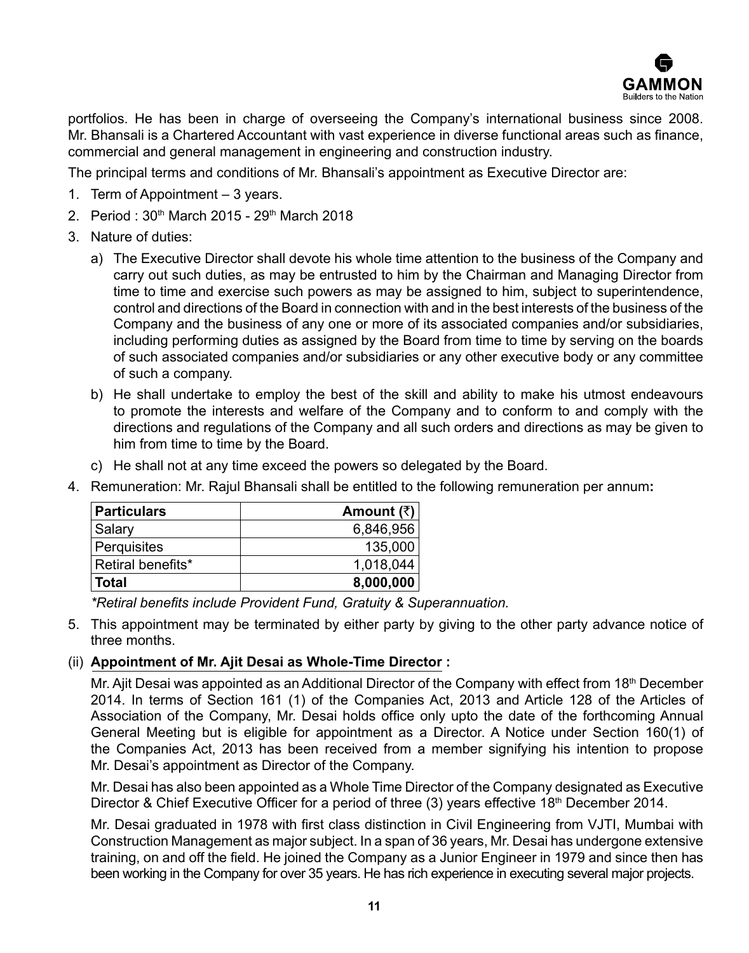

portfolios. He has been in charge of overseeing the Company's international business since 2008. Mr. Bhansali is a Chartered Accountant with vast experience in diverse functional areas such as finance, commercial and general management in engineering and construction industry.

The principal terms and conditions of Mr. Bhansali's appointment as Executive Director are:

- 1. Term of Appointment 3 years.
- 2. Period: 30<sup>th</sup> March 2015 29<sup>th</sup> March 2018
- 3. Nature of duties:
	- a) The Executive Director shall devote his whole time attention to the business of the Company and carry out such duties, as may be entrusted to him by the Chairman and Managing Director from time to time and exercise such powers as may be assigned to him, subject to superintendence, control and directions of the Board in connection with and in the best interests of the business of the Company and the business of any one or more of its associated companies and/or subsidiaries, including performing duties as assigned by the Board from time to time by serving on the boards of such associated companies and/or subsidiaries or any other executive body or any committee of such a company.
	- b) He shall undertake to employ the best of the skill and ability to make his utmost endeavours to promote the interests and welfare of the Company and to conform to and comply with the directions and regulations of the Company and all such orders and directions as may be given to him from time to time by the Board.
	- c) He shall not at any time exceed the powers so delegated by the Board.

| Particulars       | Amount $(\bar{z})$ |
|-------------------|--------------------|
| Salary            | 6,846,956          |
| Perquisites       | 135,000            |
| Retiral benefits* | 1,018,044          |
| Total             | 8,000,000          |

4. Remuneration: Mr. Rajul Bhansali shall be entitled to the following remuneration per annum**:**

*\*Retiral benefits include Provident Fund, Gratuity & Superannuation.*

5. This appointment may be terminated by either party by giving to the other party advance notice of three months.

# (ii) **Appointment of Mr. Ajit Desai as Whole-Time Director :**

Mr. Ajit Desai was appointed as an Additional Director of the Company with effect from 18<sup>th</sup> December 2014. In terms of Section 161 (1) of the Companies Act, 2013 and Article 128 of the Articles of Association of the Company, Mr. Desai holds office only upto the date of the forthcoming Annual General Meeting but is eligible for appointment as a Director. A Notice under Section 160(1) of the Companies Act, 2013 has been received from a member signifying his intention to propose Mr. Desai's appointment as Director of the Company.

Mr. Desai has also been appointed as a Whole Time Director of the Company designated as Executive Director & Chief Executive Officer for a period of three (3) years effective 18<sup>th</sup> December 2014.

Mr. Desai graduated in 1978 with first class distinction in Civil Engineering from VJTI, Mumbai with Construction Management as major subject. In a span of 36 years, Mr. Desai has undergone extensive training, on and off the field. He joined the Company as a Junior Engineer in 1979 and since then has been working in the Company for over 35 years. He has rich experience in executing several major projects.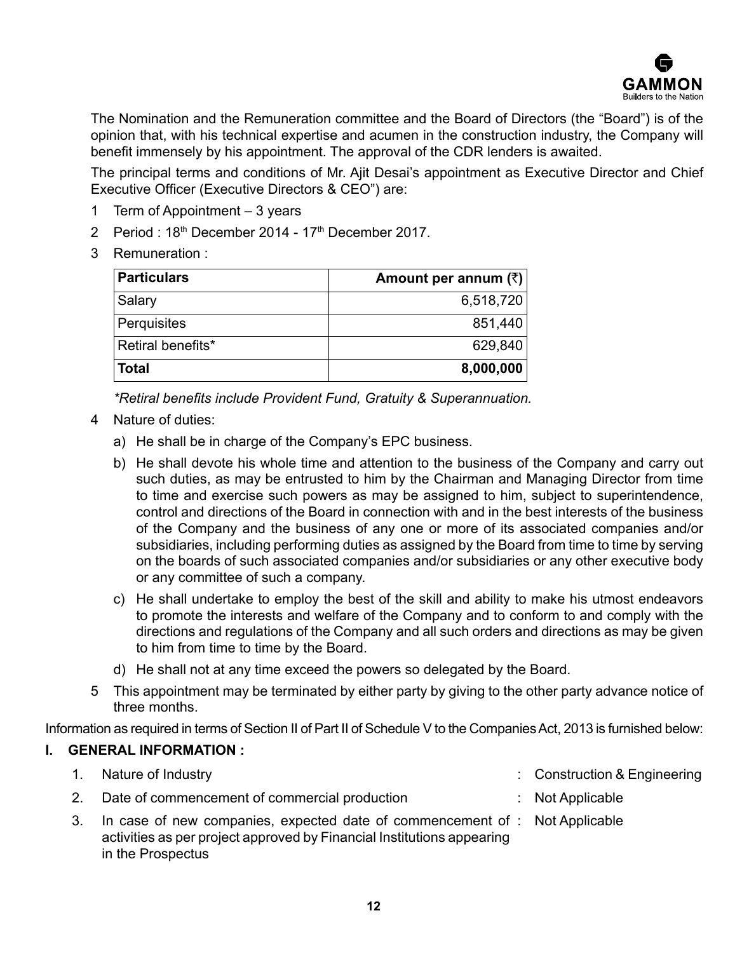

The Nomination and the Remuneration committee and the Board of Directors (the "Board") is of the opinion that, with his technical expertise and acumen in the construction industry, the Company will benefit immensely by his appointment. The approval of the CDR lenders is awaited.

The principal terms and conditions of Mr. Ajit Desai's appointment as Executive Director and Chief Executive Officer (Executive Directors & CEO") are:

- 1 Term of Appointment 3 years
- 2 Period :  $18<sup>th</sup>$  December 2014  $17<sup>th</sup>$  December 2017.
- 3 Remuneration :

| <b>Particulars</b> | Amount per annum $(\bar{z})$ |
|--------------------|------------------------------|
| Salary             | 6,518,720                    |
| Perquisites        | 851,440                      |
| Retiral benefits*  | 629,840                      |
| <b>Total</b>       | 8,000,000                    |

*\*Retiral benefits include Provident Fund, Gratuity & Superannuation.*

- 4 Nature of duties:
	- a) He shall be in charge of the Company's EPC business.
	- b) He shall devote his whole time and attention to the business of the Company and carry out such duties, as may be entrusted to him by the Chairman and Managing Director from time to time and exercise such powers as may be assigned to him, subject to superintendence, control and directions of the Board in connection with and in the best interests of the business of the Company and the business of any one or more of its associated companies and/or subsidiaries, including performing duties as assigned by the Board from time to time by serving on the boards of such associated companies and/or subsidiaries or any other executive body or any committee of such a company.
	- c) He shall undertake to employ the best of the skill and ability to make his utmost endeavors to promote the interests and welfare of the Company and to conform to and comply with the directions and regulations of the Company and all such orders and directions as may be given to him from time to time by the Board.
	- d) He shall not at any time exceed the powers so delegated by the Board.
- 5 This appointment may be terminated by either party by giving to the other party advance notice of three months.

Information as required in terms of Section II of Part II of Schedule V to the Companies Act, 2013 is furnished below:

#### **I. GENERAL INFORMATION :**

| 1. Nature of Industry                                                                                                                                                      | : Construction & Engineering |
|----------------------------------------------------------------------------------------------------------------------------------------------------------------------------|------------------------------|
| 2. Date of commencement of commercial production                                                                                                                           | $:$ Not Applicable           |
| In case of new companies, expected date of commencement of : Not Applicable<br>activities as per project approved by Financial Institutions appearing<br>in the Prospectus |                              |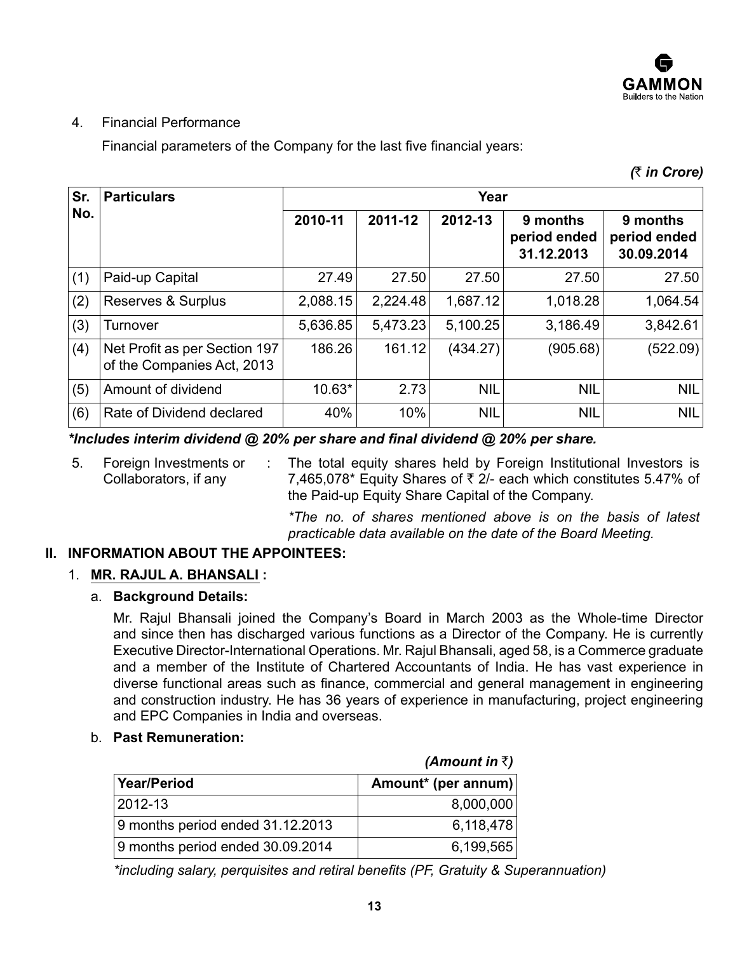

# 4. Financial Performance

Financial parameters of the Company for the last five financial years:

*(*` *in Crore)*

| Sr. | <b>Particulars</b>                                          | Year     |          |            |                                        |                                        |
|-----|-------------------------------------------------------------|----------|----------|------------|----------------------------------------|----------------------------------------|
| No. |                                                             | 2010-11  | 2011-12  | 2012-13    | 9 months<br>period ended<br>31.12.2013 | 9 months<br>period ended<br>30.09.2014 |
| (1) | Paid-up Capital                                             | 27.49    | 27.50    | 27.50      | 27.50                                  | 27.50                                  |
| (2) | Reserves & Surplus                                          | 2,088.15 | 2,224.48 | 1,687.12   | 1,018.28                               | 1,064.54                               |
| (3) | Turnover                                                    | 5,636.85 | 5,473.23 | 5,100.25   | 3,186.49                               | 3,842.61                               |
| (4) | Net Profit as per Section 197<br>of the Companies Act, 2013 | 186.26   | 161.12   | (434.27)   | (905.68)                               | (522.09)                               |
| (5) | Amount of dividend                                          | $10.63*$ | 2.73     | <b>NIL</b> | <b>NIL</b>                             | <b>NIL</b>                             |
| (6) | Rate of Dividend declared                                   | 40%      | 10%      | <b>NIL</b> | <b>NIL</b>                             | <b>NIL</b>                             |

*\*Includes interim dividend @ 20% per share and final dividend @ 20% per share.*

5. Foreign Investments or Collaborators, if any : The total equity shares held by Foreign Institutional Investors is 7,465,078\* Equity Shares of  $\bar{\tau}$  2/- each which constitutes 5.47% of the Paid-up Equity Share Capital of the Company.

> *\*The no. of shares mentioned above is on the basis of latest practicable data available on the date of the Board Meeting.*

# **II. INFORMATION ABOUT THE APPOINTEES:**

# 1. **MR. RAJUL A. BHANSALI :**

# a. **Background Details:**

Mr. Rajul Bhansali joined the Company's Board in March 2003 as the Whole-time Director and since then has discharged various functions as a Director of the Company. He is currently Executive Director-International Operations. Mr. Rajul Bhansali, aged 58, is a Commerce graduate and a member of the Institute of Chartered Accountants of India. He has vast experience in diverse functional areas such as finance, commercial and general management in engineering and construction industry. He has 36 years of experience in manufacturing, project engineering and EPC Companies in India and overseas.

#### b. **Past Remuneration:**

|                                  | <i>(Amount in</i> ₹) |
|----------------------------------|----------------------|
| Year/Period                      | Amount* (per annum)  |
| 2012-13                          | 8,000,000            |
| 9 months period ended 31.12.2013 | 6,118,478            |
| 9 months period ended 30.09.2014 | 6,199,565            |

*\*including salary, perquisites and retiral benefits (PF, Gratuity & Superannuation)*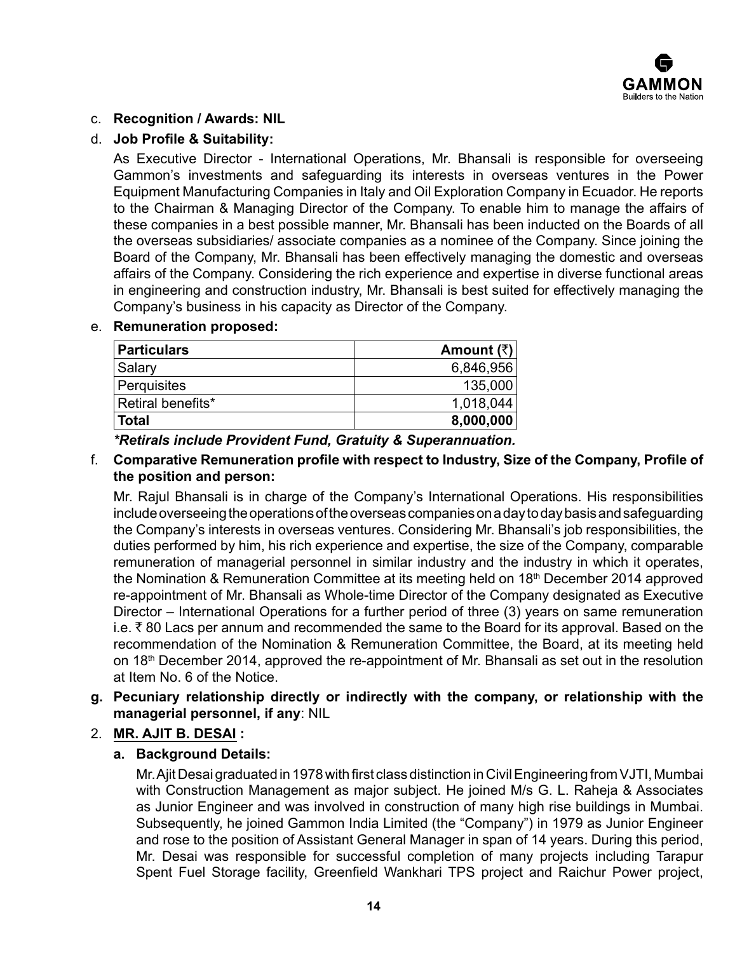

# c. **Recognition / Awards: NIL**

### d. **Job Profile & Suitability:**

As Executive Director - International Operations, Mr. Bhansali is responsible for overseeing Gammon's investments and safeguarding its interests in overseas ventures in the Power Equipment Manufacturing Companies in Italy and Oil Exploration Company in Ecuador. He reports to the Chairman & Managing Director of the Company. To enable him to manage the affairs of these companies in a best possible manner, Mr. Bhansali has been inducted on the Boards of all the overseas subsidiaries/ associate companies as a nominee of the Company. Since joining the Board of the Company, Mr. Bhansali has been effectively managing the domestic and overseas affairs of the Company. Considering the rich experience and expertise in diverse functional areas in engineering and construction industry, Mr. Bhansali is best suited for effectively managing the Company's business in his capacity as Director of the Company.

#### e. **Remuneration proposed:**

| <b>Particulars</b> | Amount $(₹)$ |
|--------------------|--------------|
| Salary             | 6,846,956    |
| Perquisites        | 135,000      |
| Retiral benefits*  | 1,018,044    |
| Total              | 8,000,000    |

*\*Retirals include Provident Fund, Gratuity & Superannuation.*

#### f. **Comparative Remuneration profile with respect to Industry, Size of the Company, Profile of the position and person:**

Mr. Rajul Bhansali is in charge of the Company's International Operations. His responsibilities include overseeing the operations of the overseas companies on a day to day basis and safeguarding the Company's interests in overseas ventures. Considering Mr. Bhansali's job responsibilities, the duties performed by him, his rich experience and expertise, the size of the Company, comparable remuneration of managerial personnel in similar industry and the industry in which it operates, the Nomination & Remuneration Committee at its meeting held on 18<sup>th</sup> December 2014 approved re-appointment of Mr. Bhansali as Whole-time Director of the Company designated as Executive Director – International Operations for a further period of three (3) years on same remuneration i.e.  $\bar{\tau}$  80 Lacs per annum and recommended the same to the Board for its approval. Based on the recommendation of the Nomination & Remuneration Committee, the Board, at its meeting held on 18th December 2014, approved the re-appointment of Mr. Bhansali as set out in the resolution at Item No. 6 of the Notice.

### **g. Pecuniary relationship directly or indirectly with the company, or relationship with the managerial personnel, if any**: NIL

# 2. **MR. AJIT B. DESAI :**

#### **a. Background Details:**

Mr. Ajit Desai graduated in 1978 with first class distinction in Civil Engineering from VJTI, Mumbai with Construction Management as major subject. He joined M/s G. L. Raheja & Associates as Junior Engineer and was involved in construction of many high rise buildings in Mumbai. Subsequently, he joined Gammon India Limited (the "Company") in 1979 as Junior Engineer and rose to the position of Assistant General Manager in span of 14 years. During this period, Mr. Desai was responsible for successful completion of many projects including Tarapur Spent Fuel Storage facility, Greenfield Wankhari TPS project and Raichur Power project,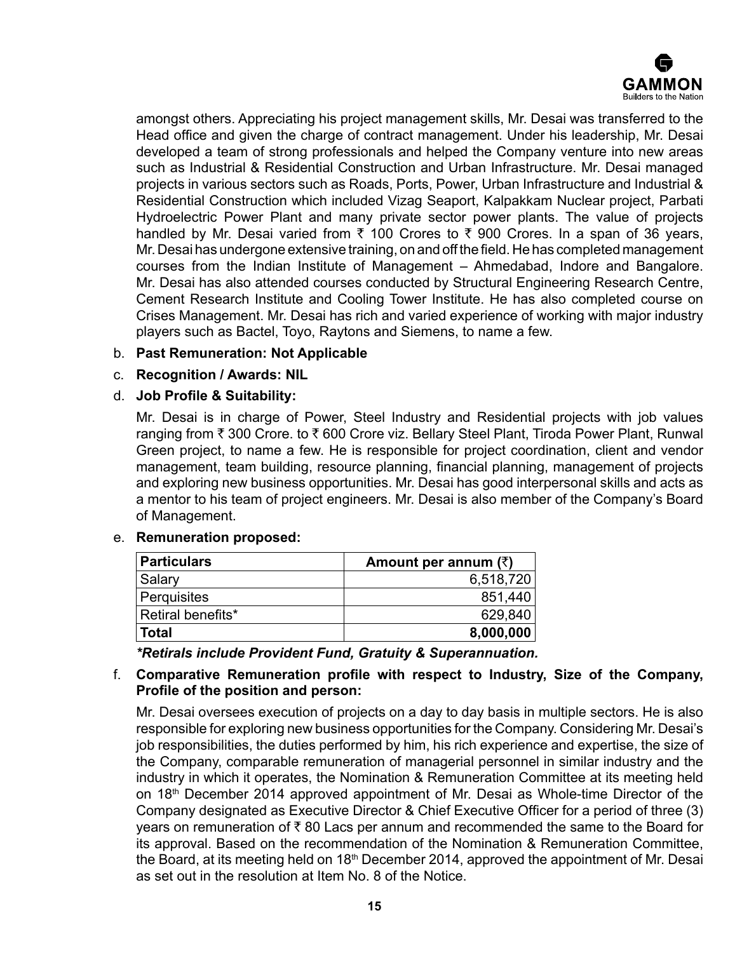

amongst others. Appreciating his project management skills, Mr. Desai was transferred to the Head office and given the charge of contract management. Under his leadership, Mr. Desai developed a team of strong professionals and helped the Company venture into new areas such as Industrial & Residential Construction and Urban Infrastructure. Mr. Desai managed projects in various sectors such as Roads, Ports, Power, Urban Infrastructure and Industrial & Residential Construction which included Vizag Seaport, Kalpakkam Nuclear project, Parbati Hydroelectric Power Plant and many private sector power plants. The value of projects handled by Mr. Desai varied from  $\bar{x}$  100 Crores to  $\bar{x}$  900 Crores. In a span of 36 years, Mr. Desai has undergone extensive training, on and off the field. He has completed management courses from the Indian Institute of Management – Ahmedabad, Indore and Bangalore. Mr. Desai has also attended courses conducted by Structural Engineering Research Centre, Cement Research Institute and Cooling Tower Institute. He has also completed course on Crises Management. Mr. Desai has rich and varied experience of working with major industry players such as Bactel, Toyo, Raytons and Siemens, to name a few.

#### b. **Past Remuneration: Not Applicable**

### c. **Recognition / Awards: NIL**

#### d. **Job Profile & Suitability:**

Mr. Desai is in charge of Power, Steel Industry and Residential projects with job values ranging from ₹ 300 Crore. to ₹ 600 Crore viz. Bellary Steel Plant, Tiroda Power Plant, Runwal Green project, to name a few. He is responsible for project coordination, client and vendor management, team building, resource planning, financial planning, management of projects and exploring new business opportunities. Mr. Desai has good interpersonal skills and acts as a mentor to his team of project engineers. Mr. Desai is also member of the Company's Board of Management.

#### e. **Remuneration proposed:**

| Particulars       | Amount per annum $(\bar{x})$ |
|-------------------|------------------------------|
| Salary            | 6,518,720                    |
| Perquisites       | 851,440                      |
| Retiral benefits* | 629,840                      |
| <b>Total</b>      | 8,000,000                    |

*\*Retirals include Provident Fund, Gratuity & Superannuation.*

# f. **Comparative Remuneration profile with respect to Industry, Size of the Company, Profile of the position and person:**

Mr. Desai oversees execution of projects on a day to day basis in multiple sectors. He is also responsible for exploring new business opportunities for the Company. Considering Mr. Desai's job responsibilities, the duties performed by him, his rich experience and expertise, the size of the Company, comparable remuneration of managerial personnel in similar industry and the industry in which it operates, the Nomination & Remuneration Committee at its meeting held on 18th December 2014 approved appointment of Mr. Desai as Whole-time Director of the Company designated as Executive Director & Chief Executive Officer for a period of three (3) years on remuneration of  $\bar{\tau}$  80 Lacs per annum and recommended the same to the Board for its approval. Based on the recommendation of the Nomination & Remuneration Committee, the Board, at its meeting held on  $18<sup>th</sup>$  December 2014, approved the appointment of Mr. Desai as set out in the resolution at Item No. 8 of the Notice.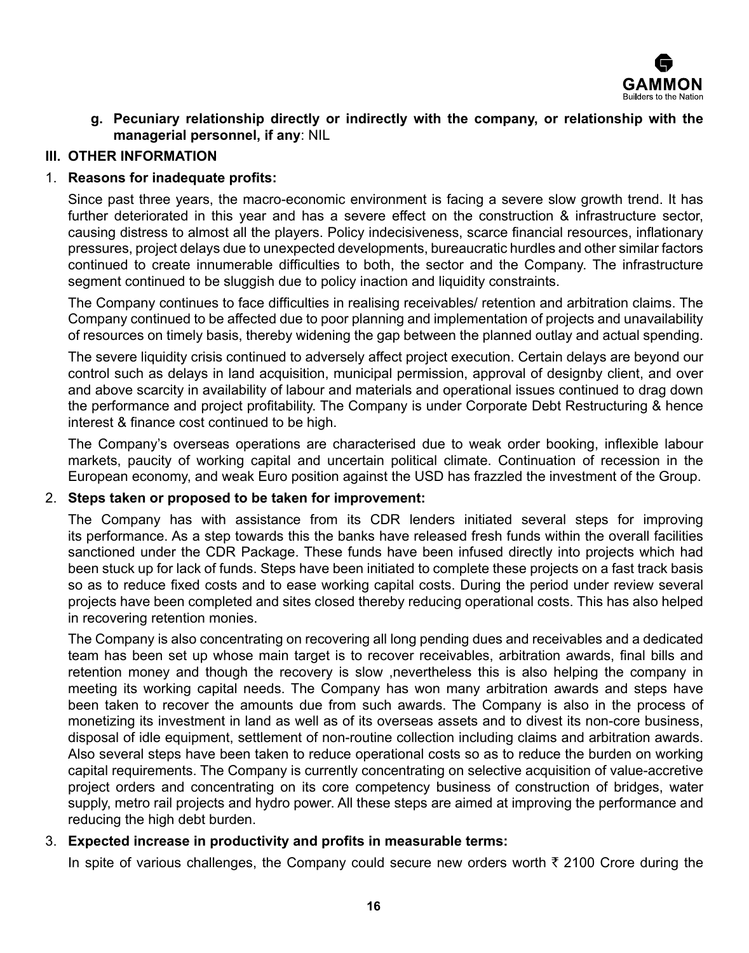

**g. Pecuniary relationship directly or indirectly with the company, or relationship with the managerial personnel, if any**: NIL

# **III. OTHER INFORMATION**

# 1. **Reasons for inadequate profits:**

Since past three years, the macro-economic environment is facing a severe slow growth trend. It has further deteriorated in this year and has a severe effect on the construction & infrastructure sector, causing distress to almost all the players. Policy indecisiveness, scarce financial resources, inflationary pressures, project delays due to unexpected developments, bureaucratic hurdles and other similar factors continued to create innumerable difficulties to both, the sector and the Company. The infrastructure segment continued to be sluggish due to policy inaction and liquidity constraints.

The Company continues to face difficulties in realising receivables/ retention and arbitration claims. The Company continued to be affected due to poor planning and implementation of projects and unavailability of resources on timely basis, thereby widening the gap between the planned outlay and actual spending.

The severe liquidity crisis continued to adversely affect project execution. Certain delays are beyond our control such as delays in land acquisition, municipal permission, approval of designby client, and over and above scarcity in availability of labour and materials and operational issues continued to drag down the performance and project profitability. The Company is under Corporate Debt Restructuring & hence interest & finance cost continued to be high.

The Company's overseas operations are characterised due to weak order booking, inflexible labour markets, paucity of working capital and uncertain political climate. Continuation of recession in the European economy, and weak Euro position against the USD has frazzled the investment of the Group.

#### 2. **Steps taken or proposed to be taken for improvement:**

The Company has with assistance from its CDR lenders initiated several steps for improving its performance. As a step towards this the banks have released fresh funds within the overall facilities sanctioned under the CDR Package. These funds have been infused directly into projects which had been stuck up for lack of funds. Steps have been initiated to complete these projects on a fast track basis so as to reduce fixed costs and to ease working capital costs. During the period under review several projects have been completed and sites closed thereby reducing operational costs. This has also helped in recovering retention monies.

The Company is also concentrating on recovering all long pending dues and receivables and a dedicated team has been set up whose main target is to recover receivables, arbitration awards, final bills and retention money and though the recovery is slow ,nevertheless this is also helping the company in meeting its working capital needs. The Company has won many arbitration awards and steps have been taken to recover the amounts due from such awards. The Company is also in the process of monetizing its investment in land as well as of its overseas assets and to divest its non-core business, disposal of idle equipment, settlement of non-routine collection including claims and arbitration awards. Also several steps have been taken to reduce operational costs so as to reduce the burden on working capital requirements. The Company is currently concentrating on selective acquisition of value-accretive project orders and concentrating on its core competency business of construction of bridges, water supply, metro rail projects and hydro power. All these steps are aimed at improving the performance and reducing the high debt burden.

# 3. **Expected increase in productivity and profits in measurable terms:**

In spite of various challenges, the Company could secure new orders worth  $\bar{\tau}$  2100 Crore during the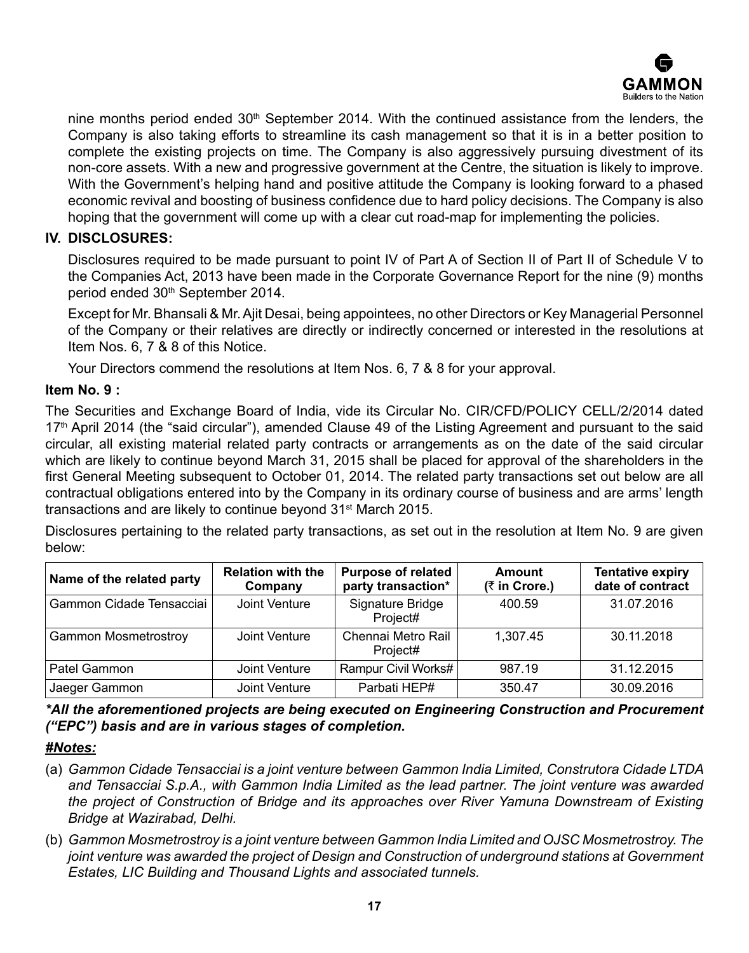

nine months period ended 30<sup>th</sup> September 2014. With the continued assistance from the lenders, the Company is also taking efforts to streamline its cash management so that it is in a better position to complete the existing projects on time. The Company is also aggressively pursuing divestment of its non-core assets. With a new and progressive government at the Centre, the situation is likely to improve. With the Government's helping hand and positive attitude the Company is looking forward to a phased economic revival and boosting of business confidence due to hard policy decisions. The Company is also hoping that the government will come up with a clear cut road-map for implementing the policies.

# **IV. DISCLOSURES:**

Disclosures required to be made pursuant to point IV of Part A of Section II of Part II of Schedule V to the Companies Act, 2013 have been made in the Corporate Governance Report for the nine (9) months period ended 30th September 2014.

Except for Mr. Bhansali & Mr. Ajit Desai, being appointees, no other Directors or Key Managerial Personnel of the Company or their relatives are directly or indirectly concerned or interested in the resolutions at Item Nos. 6, 7 & 8 of this Notice.

Your Directors commend the resolutions at Item Nos. 6, 7 & 8 for your approval.

### **Item No. 9 :**

The Securities and Exchange Board of India, vide its Circular No. CIR/CFD/POLICY CELL/2/2014 dated 17<sup>th</sup> April 2014 (the "said circular"), amended Clause 49 of the Listing Agreement and pursuant to the said circular, all existing material related party contracts or arrangements as on the date of the said circular which are likely to continue beyond March 31, 2015 shall be placed for approval of the shareholders in the first General Meeting subsequent to October 01, 2014. The related party transactions set out below are all contractual obligations entered into by the Company in its ordinary course of business and are arms' length transactions and are likely to continue beyond 31st March 2015.

Disclosures pertaining to the related party transactions, as set out in the resolution at Item No. 9 are given below:

| Name of the related party   | <b>Relation with the</b><br>Company | <b>Purpose of related</b><br>party transaction* | Amount<br>(₹ in Crore.) | <b>Tentative expiry</b><br>date of contract |
|-----------------------------|-------------------------------------|-------------------------------------------------|-------------------------|---------------------------------------------|
| Gammon Cidade Tensacciai    | Joint Venture                       | Signature Bridge<br>Project#                    | 400.59                  | 31.07.2016                                  |
| <b>Gammon Mosmetrostroy</b> | Joint Venture                       | Chennai Metro Rail<br>Project#                  | 1,307.45                | 30.11.2018                                  |
| Patel Gammon                | Joint Venture                       | Rampur Civil Works#                             | 987.19                  | 31.12.2015                                  |
| Jaeger Gammon               | Joint Venture                       | Parbati HEP#                                    | 350.47                  | 30.09.2016                                  |

*\*All the aforementioned projects are being executed on Engineering Construction and Procurement ("EPC") basis and are in various stages of completion.*

#### *#Notes:*

- (a) *Gammon Cidade Tensacciai is a joint venture between Gammon India Limited, Construtora Cidade LTDA and Tensacciai S.p.A., with Gammon India Limited as the lead partner. The joint venture was awarded the project of Construction of Bridge and its approaches over River Yamuna Downstream of Existing Bridge at Wazirabad, Delhi.*
- (b) *Gammon Mosmetrostroy is a joint venture between Gammon India Limited and OJSC Mosmetrostroy. The joint venture was awarded the project of Design and Construction of underground stations at Government Estates, LIC Building and Thousand Lights and associated tunnels.*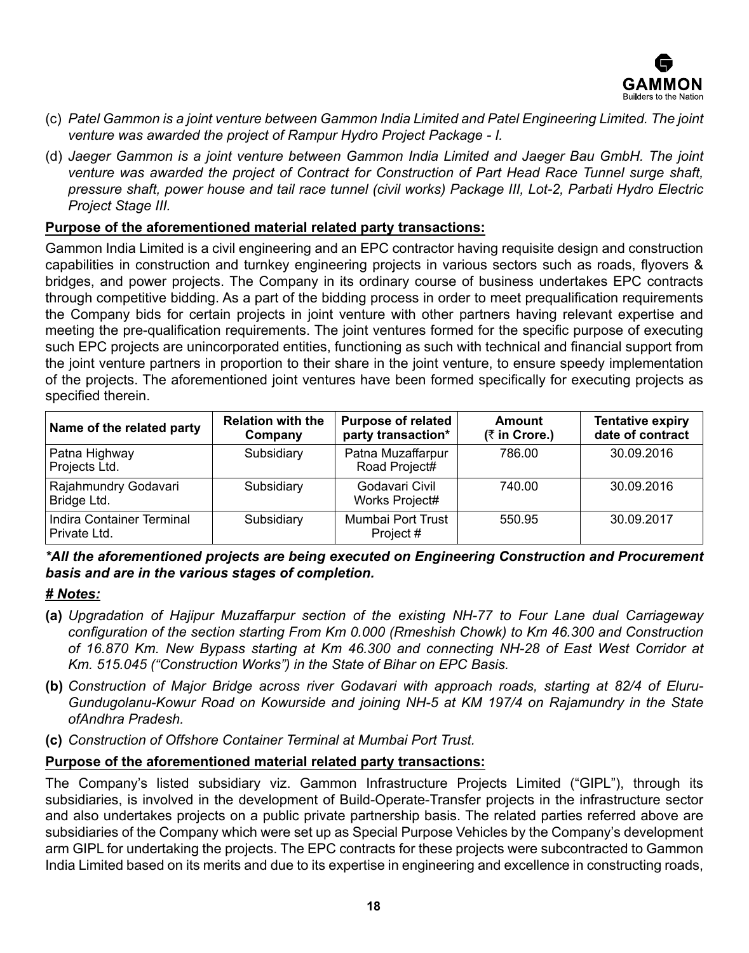

- (c) *Patel Gammon is a joint venture between Gammon India Limited and Patel Engineering Limited. The joint venture was awarded the project of Rampur Hydro Project Package - I.*
- (d) *Jaeger Gammon is a joint venture between Gammon India Limited and Jaeger Bau GmbH. The joint venture was awarded the project of Contract for Construction of Part Head Race Tunnel surge shaft, pressure shaft, power house and tail race tunnel (civil works) Package III, Lot-2, Parbati Hydro Electric Project Stage III.*

### **Purpose of the aforementioned material related party transactions:**

Gammon India Limited is a civil engineering and an EPC contractor having requisite design and construction capabilities in construction and turnkey engineering projects in various sectors such as roads, flyovers & bridges, and power projects. The Company in its ordinary course of business undertakes EPC contracts through competitive bidding. As a part of the bidding process in order to meet prequalification requirements the Company bids for certain projects in joint venture with other partners having relevant expertise and meeting the pre-qualification requirements. The joint ventures formed for the specific purpose of executing such EPC projects are unincorporated entities, functioning as such with technical and financial support from the joint venture partners in proportion to their share in the joint venture, to ensure speedy implementation of the projects. The aforementioned joint ventures have been formed specifically for executing projects as specified therein.

| Name of the related party                 | <b>Relation with the</b><br>Company | <b>Purpose of related</b><br>party transaction* | <b>Amount</b><br>(₹ in Crore.) | <b>Tentative expiry</b><br>date of contract |
|-------------------------------------------|-------------------------------------|-------------------------------------------------|--------------------------------|---------------------------------------------|
| Patna Highway<br>Projects Ltd.            | Subsidiary                          | Patna Muzaffarpur<br>Road Project#              | 786.00                         | 30.09.2016                                  |
| Rajahmundry Godavari<br>Bridge Ltd.       | Subsidiary                          | Godavari Civil<br>Works Project#                | 740.00                         | 30.09.2016                                  |
| Indira Container Terminal<br>Private Ltd. | Subsidiary                          | Mumbai Port Trust<br>Project #                  | 550.95                         | 30.09.2017                                  |

*\*All the aforementioned projects are being executed on Engineering Construction and Procurement basis and are in the various stages of completion.*

#### *# Notes:*

- **(a)** *Upgradation of Hajipur Muzaffarpur section of the existing NH-77 to Four Lane dual Carriageway configuration of the section starting From Km 0.000 (Rmeshish Chowk) to Km 46.300 and Construction of 16.870 Km. New Bypass starting at Km 46.300 and connecting NH-28 of East West Corridor at Km. 515.045 ("Construction Works") in the State of Bihar on EPC Basis.*
- **(b)** *Construction of Major Bridge across river Godavari with approach roads, starting at 82/4 of Eluru-Gundugolanu-Kowur Road on Kowurside and joining NH-5 at KM 197/4 on Rajamundry in the State ofAndhra Pradesh.*
- **(c)** *Construction of Offshore Container Terminal at Mumbai Port Trust.*

#### **Purpose of the aforementioned material related party transactions:**

The Company's listed subsidiary viz. Gammon Infrastructure Projects Limited ("GIPL"), through its subsidiaries, is involved in the development of Build-Operate-Transfer projects in the infrastructure sector and also undertakes projects on a public private partnership basis. The related parties referred above are subsidiaries of the Company which were set up as Special Purpose Vehicles by the Company's development arm GIPL for undertaking the projects. The EPC contracts for these projects were subcontracted to Gammon India Limited based on its merits and due to its expertise in engineering and excellence in constructing roads,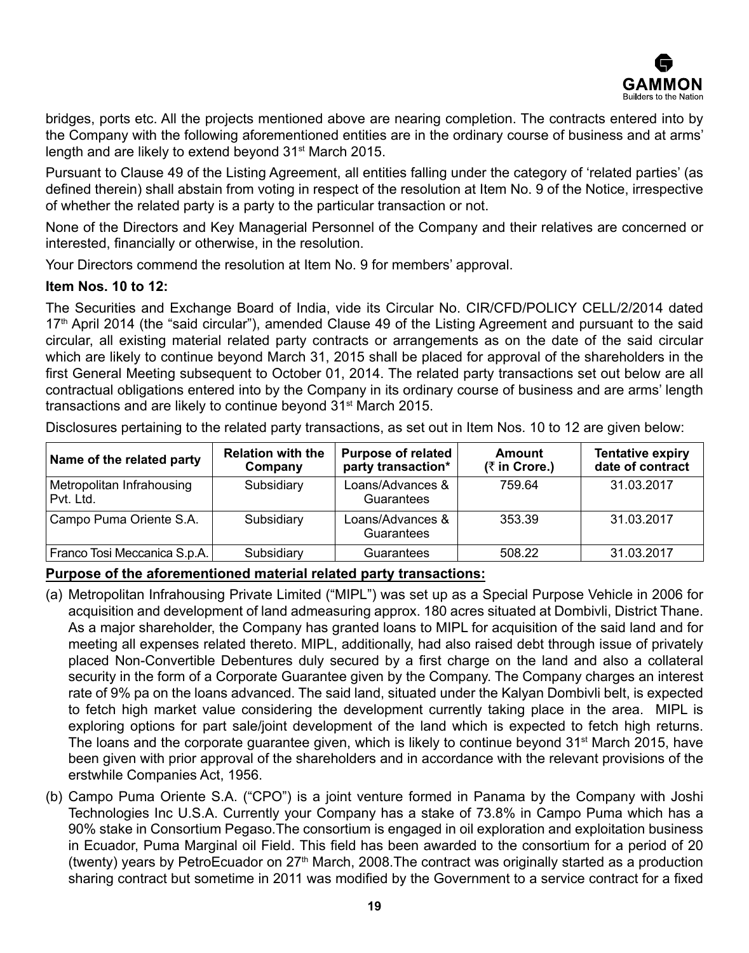

bridges, ports etc. All the projects mentioned above are nearing completion. The contracts entered into by the Company with the following aforementioned entities are in the ordinary course of business and at arms' length and are likely to extend beyond 31<sup>st</sup> March 2015.

Pursuant to Clause 49 of the Listing Agreement, all entities falling under the category of 'related parties' (as defined therein) shall abstain from voting in respect of the resolution at Item No. 9 of the Notice, irrespective of whether the related party is a party to the particular transaction or not.

None of the Directors and Key Managerial Personnel of the Company and their relatives are concerned or interested, financially or otherwise, in the resolution.

Your Directors commend the resolution at Item No. 9 for members' approval.

### **Item Nos. 10 to 12:**

The Securities and Exchange Board of India, vide its Circular No. CIR/CFD/POLICY CELL/2/2014 dated 17<sup>th</sup> April 2014 (the "said circular"), amended Clause 49 of the Listing Agreement and pursuant to the said circular, all existing material related party contracts or arrangements as on the date of the said circular which are likely to continue beyond March 31, 2015 shall be placed for approval of the shareholders in the first General Meeting subsequent to October 01, 2014. The related party transactions set out below are all contractual obligations entered into by the Company in its ordinary course of business and are arms' length transactions and are likely to continue beyond 31st March 2015.

Disclosures pertaining to the related party transactions, as set out in Item Nos. 10 to 12 are given below:

| Name of the related party              | <b>Relation with the</b><br>Company | <b>Purpose of related</b><br>party transaction* | <b>Amount</b><br>(₹ in Crore.) | <b>Tentative expiry</b><br>date of contract |
|----------------------------------------|-------------------------------------|-------------------------------------------------|--------------------------------|---------------------------------------------|
| Metropolitan Infrahousing<br>Pvt. Ltd. | Subsidiary                          | Loans/Advances &<br>Guarantees                  | 759.64                         | 31.03.2017                                  |
| Campo Puma Oriente S.A.                | Subsidiary                          | Loans/Advances &<br>Guarantees                  | 353.39                         | 31.03.2017                                  |
| Franco Tosi Meccanica S.p.A.           | Subsidiary                          | Guarantees                                      | 508.22                         | 31.03.2017                                  |

# **Purpose of the aforementioned material related party transactions:**

- (a) Metropolitan Infrahousing Private Limited ("MIPL") was set up as a Special Purpose Vehicle in 2006 for acquisition and development of land admeasuring approx. 180 acres situated at Dombivli, District Thane. As a major shareholder, the Company has granted loans to MIPL for acquisition of the said land and for meeting all expenses related thereto. MIPL, additionally, had also raised debt through issue of privately placed Non-Convertible Debentures duly secured by a first charge on the land and also a collateral security in the form of a Corporate Guarantee given by the Company. The Company charges an interest rate of 9% pa on the loans advanced. The said land, situated under the Kalyan Dombivli belt, is expected to fetch high market value considering the development currently taking place in the area. MIPL is exploring options for part sale/joint development of the land which is expected to fetch high returns. The loans and the corporate guarantee given, which is likely to continue beyond 31<sup>st</sup> March 2015, have been given with prior approval of the shareholders and in accordance with the relevant provisions of the erstwhile Companies Act, 1956.
- (b) Campo Puma Oriente S.A. ("CPO") is a joint venture formed in Panama by the Company with Joshi Technologies Inc U.S.A. Currently your Company has a stake of 73.8% in Campo Puma which has a 90% stake in Consortium Pegaso.The consortium is engaged in oil exploration and exploitation business in Ecuador, Puma Marginal oil Field. This field has been awarded to the consortium for a period of 20 (twenty) years by PetroEcuador on 27<sup>th</sup> March, 2008. The contract was originally started as a production sharing contract but sometime in 2011 was modified by the Government to a service contract for a fixed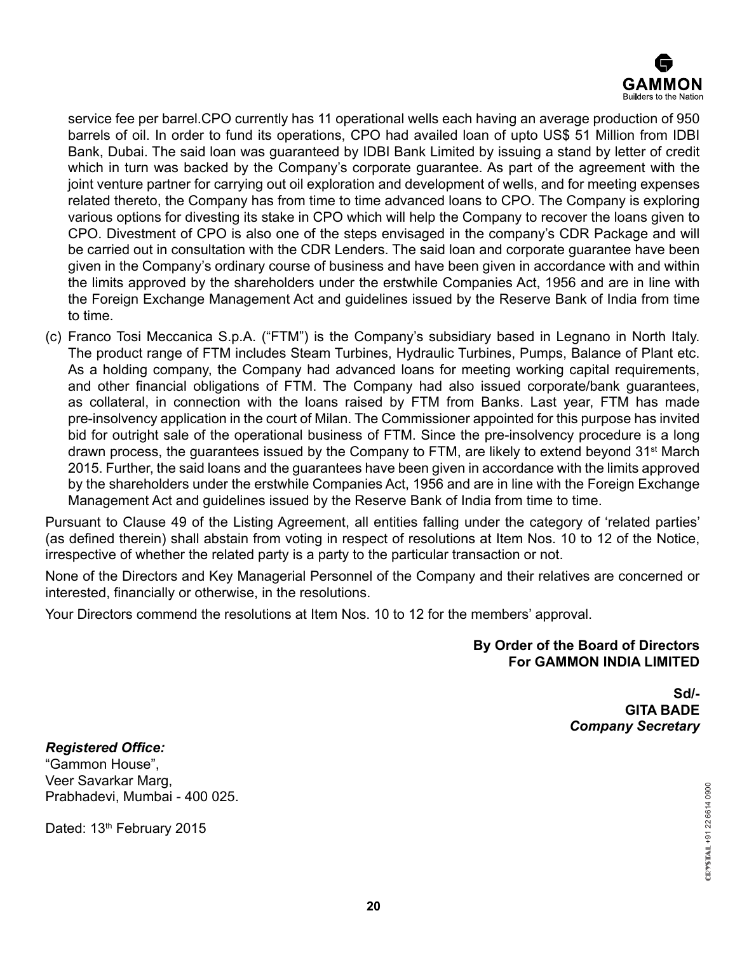

service fee per barrel.CPO currently has 11 operational wells each having an average production of 950 barrels of oil. In order to fund its operations, CPO had availed loan of upto US\$ 51 Million from IDBI Bank, Dubai. The said loan was guaranteed by IDBI Bank Limited by issuing a stand by letter of credit which in turn was backed by the Company's corporate guarantee. As part of the agreement with the joint venture partner for carrying out oil exploration and development of wells, and for meeting expenses related thereto, the Company has from time to time advanced loans to CPO. The Company is exploring various options for divesting its stake in CPO which will help the Company to recover the loans given to CPO. Divestment of CPO is also one of the steps envisaged in the company's CDR Package and will be carried out in consultation with the CDR Lenders. The said loan and corporate guarantee have been given in the Company's ordinary course of business and have been given in accordance with and within the limits approved by the shareholders under the erstwhile Companies Act, 1956 and are in line with the Foreign Exchange Management Act and guidelines issued by the Reserve Bank of India from time to time.

(c) Franco Tosi Meccanica S.p.A. ("FTM") is the Company's subsidiary based in Legnano in North Italy. The product range of FTM includes Steam Turbines, Hydraulic Turbines, Pumps, Balance of Plant etc. As a holding company, the Company had advanced loans for meeting working capital requirements, and other financial obligations of FTM. The Company had also issued corporate/bank guarantees, as collateral, in connection with the loans raised by FTM from Banks. Last year, FTM has made pre-insolvency application in the court of Milan. The Commissioner appointed for this purpose has invited bid for outright sale of the operational business of FTM. Since the pre-insolvency procedure is a long drawn process, the guarantees issued by the Company to FTM, are likely to extend beyond  $31<sup>st</sup>$  March 2015. Further, the said loans and the guarantees have been given in accordance with the limits approved by the shareholders under the erstwhile Companies Act, 1956 and are in line with the Foreign Exchange Management Act and guidelines issued by the Reserve Bank of India from time to time.

Pursuant to Clause 49 of the Listing Agreement, all entities falling under the category of 'related parties' (as defined therein) shall abstain from voting in respect of resolutions at Item Nos. 10 to 12 of the Notice, irrespective of whether the related party is a party to the particular transaction or not.

None of the Directors and Key Managerial Personnel of the Company and their relatives are concerned or interested, financially or otherwise, in the resolutions.

Your Directors commend the resolutions at Item Nos. 10 to 12 for the members' approval.

### **By Order of the Board of Directors For GAMMON INDIA LIMITED**

**Sd/- GITA BADE** *Company Secretary*

*Registered Office:* "Gammon House", Veer Savarkar Marg, Prabhadevi, Mumbai - 400 025.

Dated: 13<sup>th</sup> February 2015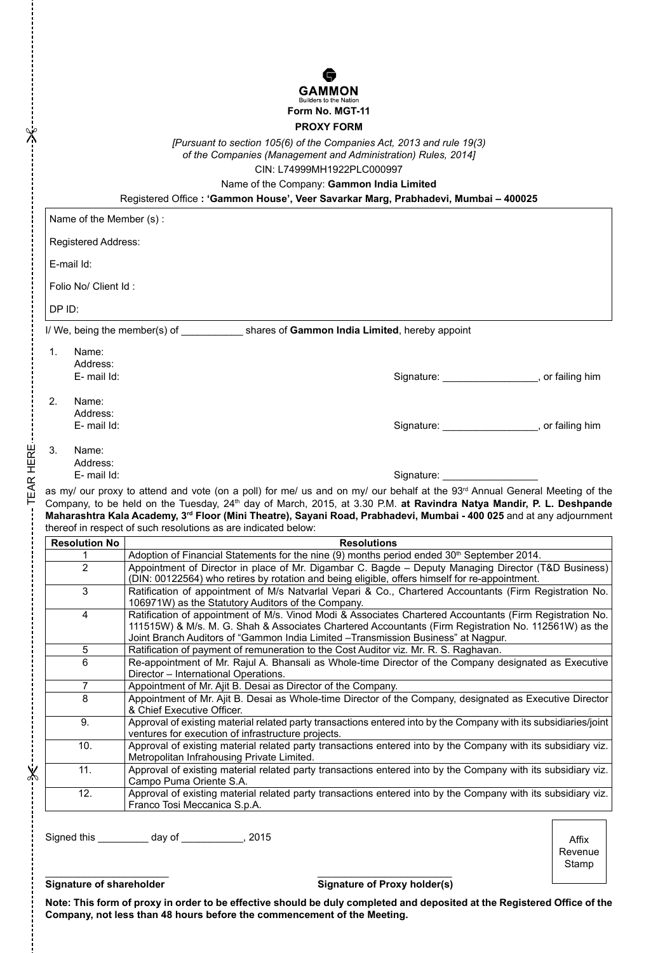

#### **PROXY FORM**

*[Pursuant to section 105(6) of the Companies Act, 2013 and rule 19(3) of the Companies (Management and Administration) Rules, 2014]*  CIN: L74999MH1922PLC000997

Name of the Company: **Gammon India Limited**

Registered Office **: 'Gammon House', Veer Savarkar Marg, Prabhadevi, Mumbai – 400025**

|                                                                                                                                         | Name of the Member (s):                                                                                              |                                                                                                                                                                                                                                                                                                       |                           |  |  |                                                                                                                                 |
|-----------------------------------------------------------------------------------------------------------------------------------------|----------------------------------------------------------------------------------------------------------------------|-------------------------------------------------------------------------------------------------------------------------------------------------------------------------------------------------------------------------------------------------------------------------------------------------------|---------------------------|--|--|---------------------------------------------------------------------------------------------------------------------------------|
|                                                                                                                                         |                                                                                                                      | <b>Registered Address:</b>                                                                                                                                                                                                                                                                            |                           |  |  |                                                                                                                                 |
|                                                                                                                                         | E-mail Id:                                                                                                           |                                                                                                                                                                                                                                                                                                       |                           |  |  |                                                                                                                                 |
|                                                                                                                                         | Folio No/ Client Id:                                                                                                 |                                                                                                                                                                                                                                                                                                       |                           |  |  |                                                                                                                                 |
|                                                                                                                                         | DP ID:                                                                                                               |                                                                                                                                                                                                                                                                                                       |                           |  |  |                                                                                                                                 |
|                                                                                                                                         |                                                                                                                      |                                                                                                                                                                                                                                                                                                       |                           |  |  |                                                                                                                                 |
|                                                                                                                                         |                                                                                                                      | I/ We, being the member(s) of _____________ shares of Gammon India Limited, hereby appoint                                                                                                                                                                                                            |                           |  |  |                                                                                                                                 |
|                                                                                                                                         | 1.<br>Name:                                                                                                          |                                                                                                                                                                                                                                                                                                       |                           |  |  |                                                                                                                                 |
|                                                                                                                                         | Address:                                                                                                             |                                                                                                                                                                                                                                                                                                       |                           |  |  |                                                                                                                                 |
|                                                                                                                                         | E-mail Id:                                                                                                           | Signature: ____________________, or failing him                                                                                                                                                                                                                                                       |                           |  |  |                                                                                                                                 |
|                                                                                                                                         | 2.<br>Name:                                                                                                          |                                                                                                                                                                                                                                                                                                       |                           |  |  |                                                                                                                                 |
|                                                                                                                                         | Address:                                                                                                             |                                                                                                                                                                                                                                                                                                       |                           |  |  |                                                                                                                                 |
|                                                                                                                                         | E-mail Id:                                                                                                           | Signature: ____________________, or failing him                                                                                                                                                                                                                                                       |                           |  |  |                                                                                                                                 |
|                                                                                                                                         | 3.<br>Name:                                                                                                          |                                                                                                                                                                                                                                                                                                       |                           |  |  |                                                                                                                                 |
|                                                                                                                                         | Address:                                                                                                             |                                                                                                                                                                                                                                                                                                       |                           |  |  |                                                                                                                                 |
|                                                                                                                                         | E-mail Id:                                                                                                           | Signature: Signature:                                                                                                                                                                                                                                                                                 |                           |  |  |                                                                                                                                 |
| TEAR HERE<br>as my/ our proxy to attend and vote (on a poll) for me/ us and on my/ our behalf at the 93rd Annual General Meeting of the |                                                                                                                      |                                                                                                                                                                                                                                                                                                       |                           |  |  |                                                                                                                                 |
|                                                                                                                                         |                                                                                                                      |                                                                                                                                                                                                                                                                                                       |                           |  |  | Company, to be held on the Tuesday, 24 <sup>th</sup> day of March, 2015, at 3.30 P.M. at Ravindra Natya Mandir, P. L. Deshpande |
|                                                                                                                                         | Maharashtra Kala Academy, 3rd Floor (Mini Theatre), Sayani Road, Prabhadevi, Mumbai - 400 025 and at any adjournment |                                                                                                                                                                                                                                                                                                       |                           |  |  |                                                                                                                                 |
|                                                                                                                                         |                                                                                                                      | thereof in respect of such resolutions as are indicated below:                                                                                                                                                                                                                                        |                           |  |  |                                                                                                                                 |
|                                                                                                                                         | <b>Resolution No</b>                                                                                                 | <b>Resolutions</b>                                                                                                                                                                                                                                                                                    |                           |  |  |                                                                                                                                 |
|                                                                                                                                         | 1                                                                                                                    | Adoption of Financial Statements for the nine (9) months period ended 30 <sup>th</sup> September 2014.                                                                                                                                                                                                |                           |  |  |                                                                                                                                 |
|                                                                                                                                         | $\overline{2}$                                                                                                       | Appointment of Director in place of Mr. Digambar C. Bagde - Deputy Managing Director (T&D Business)<br>(DIN: 00122564) who retires by rotation and being eligible, offers himself for re-appointment.                                                                                                 |                           |  |  |                                                                                                                                 |
|                                                                                                                                         | 3                                                                                                                    | Ratification of appointment of M/s Natvarlal Vepari & Co., Chartered Accountants (Firm Registration No.<br>106971W) as the Statutory Auditors of the Company.                                                                                                                                         |                           |  |  |                                                                                                                                 |
|                                                                                                                                         | $\overline{4}$                                                                                                       | Ratification of appointment of M/s. Vinod Modi & Associates Chartered Accountants (Firm Registration No.<br>111515W) & M/s. M. G. Shah & Associates Chartered Accountants (Firm Registration No. 112561W) as the<br>Joint Branch Auditors of "Gammon India Limited -Transmission Business" at Nagpur. |                           |  |  |                                                                                                                                 |
|                                                                                                                                         | 5                                                                                                                    | Ratification of payment of remuneration to the Cost Auditor viz. Mr. R. S. Raghavan.                                                                                                                                                                                                                  |                           |  |  |                                                                                                                                 |
|                                                                                                                                         | 6                                                                                                                    | Re-appointment of Mr. Rajul A. Bhansali as Whole-time Director of the Company designated as Executive<br>Director - International Operations.                                                                                                                                                         |                           |  |  |                                                                                                                                 |
|                                                                                                                                         | 7                                                                                                                    | Appointment of Mr. Ajit B. Desai as Director of the Company.                                                                                                                                                                                                                                          |                           |  |  |                                                                                                                                 |
|                                                                                                                                         | 8                                                                                                                    | Appointment of Mr. Ajit B. Desai as Whole-time Director of the Company, designated as Executive Director<br>& Chief Executive Officer.                                                                                                                                                                |                           |  |  |                                                                                                                                 |
|                                                                                                                                         | 9.                                                                                                                   | Approval of existing material related party transactions entered into by the Company with its subsidiaries/joint<br>ventures for execution of infrastructure projects.                                                                                                                                |                           |  |  |                                                                                                                                 |
|                                                                                                                                         | 10.                                                                                                                  | Approval of existing material related party transactions entered into by the Company with its subsidiary viz.<br>Metropolitan Infrahousing Private Limited.                                                                                                                                           |                           |  |  |                                                                                                                                 |
| $\chi$                                                                                                                                  | 11.                                                                                                                  | Approval of existing material related party transactions entered into by the Company with its subsidiary viz.<br>Campo Puma Oriente S.A.                                                                                                                                                              |                           |  |  |                                                                                                                                 |
|                                                                                                                                         | 12.                                                                                                                  | Approval of existing material related party transactions entered into by the Company with its subsidiary viz.<br>Franco Tosi Meccanica S.p.A.                                                                                                                                                         |                           |  |  |                                                                                                                                 |
|                                                                                                                                         |                                                                                                                      |                                                                                                                                                                                                                                                                                                       |                           |  |  |                                                                                                                                 |
|                                                                                                                                         |                                                                                                                      |                                                                                                                                                                                                                                                                                                       |                           |  |  |                                                                                                                                 |
|                                                                                                                                         |                                                                                                                      | Signed this ____________ day of _____________, 2015                                                                                                                                                                                                                                                   | Affix<br>Revenue<br>Stamp |  |  |                                                                                                                                 |

 $\frac{1}{2}$ 

#### Signature of shareholder Signature of Proxy holder(s)

**Note: This form of proxy in order to be effective should be duly completed and deposited at the Registered Office of the Company, not less than 48 hours before the commencement of the Meeting.**